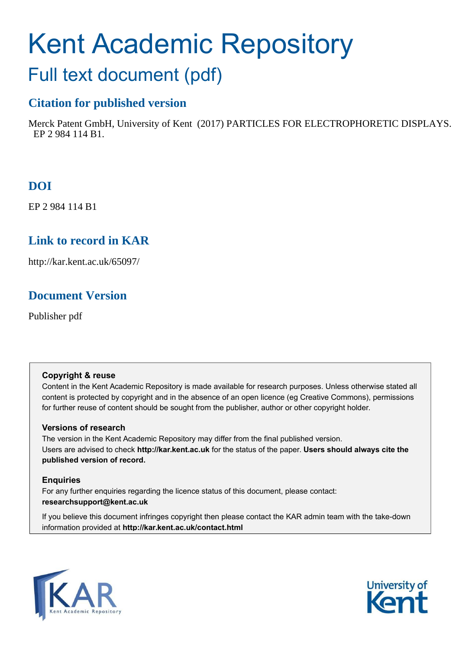# Kent Academic Repository

# Full text document (pdf)

# **Citation for published version**

Merck Patent GmbH, University of Kent (2017) PARTICLES FOR ELECTROPHORETIC DISPLAYS. EP 2 984 114 B1.

# **DOI**

EP 2 984 114 B1

# **Link to record in KAR**

http://kar.kent.ac.uk/65097/

# **Document Version**

Publisher pdf

# **Copyright & reuse**

Content in the Kent Academic Repository is made available for research purposes. Unless otherwise stated all content is protected by copyright and in the absence of an open licence (eg Creative Commons), permissions for further reuse of content should be sought from the publisher, author or other copyright holder.

# **Versions of research**

The version in the Kent Academic Repository may differ from the final published version. Users are advised to check **http://kar.kent.ac.uk** for the status of the paper. **Users should always cite the published version of record.**

# **Enquiries**

For any further enquiries regarding the licence status of this document, please contact: **researchsupport@kent.ac.uk**

If you believe this document infringes copyright then please contact the KAR admin team with the take-down information provided at **http://kar.kent.ac.uk/contact.html**



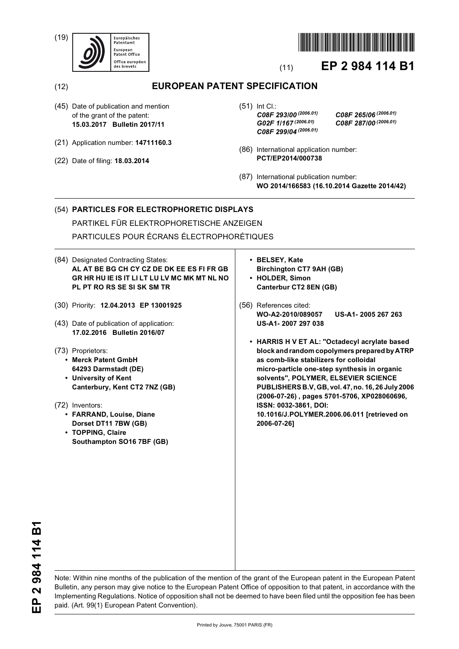(19)





# (11) **EP 2 984 114 B1**

# (12) **EUROPEAN PATENT SPECIFICATION**

- (45) Date of publication and mention of the grant of the patent: **15.03.2017 Bulletin 2017/11**
- (21) Application number: **14711160.3**
- (22) Date of filing: **18.03.2014**

(51) Int Cl.: *C08F 293/00 (2006.01) C08F 265/06 (2006.01) G02F 1/167 (2006.01) C08F 287/00 (2006.01) C08F 299/04 (2006.01)*

- (86) International application number: **PCT/EP2014/000738**
- (87) International publication number: **WO 2014/166583 (16.10.2014 Gazette 2014/42)**

## (54) **PARTICLES FOR ELECTROPHORETIC DISPLAYS** PARTIKEL FÜR ELEKTROPHORETISCHE ANZEIGEN

PARTICULES POUR ÉCRANS ÉLECTROPHORÉTIQUES

- (84) Designated Contracting States: **AL AT BE BG CH CY CZ DE DK EE ES FI FR GB GR HR HU IE IS IT LI LT LU LV MC MK MT NL NO PL PT RO RS SE SI SK SM TR**
- (30) Priority: **12.04.2013 EP 13001925**
- (43) Date of publication of application: **17.02.2016 Bulletin 2016/07**
- (73) Proprietors:
	- **Merck Patent GmbH 64293 Darmstadt (DE)**
	- **University of Kent Canterbury, Kent CT2 7NZ (GB)**
- (72) Inventors:
	- **FARRAND, Louise, Diane Dorset DT11 7BW (GB)**
	- **TOPPING, Claire Southampton SO16 7BF (GB)**
- **BELSEY, Kate Birchington CT7 9AH (GB) • HOLDER, Simon Canterbur CT2 8EN (GB)**
- (56) References cited: **WO-A2-2010/089057 US-A1- 2005 267 263 US-A1- 2007 297 038** 
	- **HARRIS H V ET AL: "Octadecyl acrylate based block and random copolymers prepared by ATRP as comb-like stabilizers for colloidal micro-particle one-step synthesis in organic solvents", POLYMER, ELSEVIER SCIENCE PUBLISHERS B.V, GB, vol. 47, no. 16, 26 July 2006 (2006-07-26) , pages 5701-5706, XP028060696, ISSN: 0032-3861, DOI: 10.1016/J.POLYMER.2006.06.011 [retrieved on 2006-07-26]**

2 984 114 B1 **EP 2 984 114 B1** 요<br>비

Note: Within nine months of the publication of the mention of the grant of the European patent in the European Patent Bulletin, any person may give notice to the European Patent Office of opposition to that patent, in accordance with the Implementing Regulations. Notice of opposition shall not be deemed to have been filed until the opposition fee has been paid. (Art. 99(1) European Patent Convention).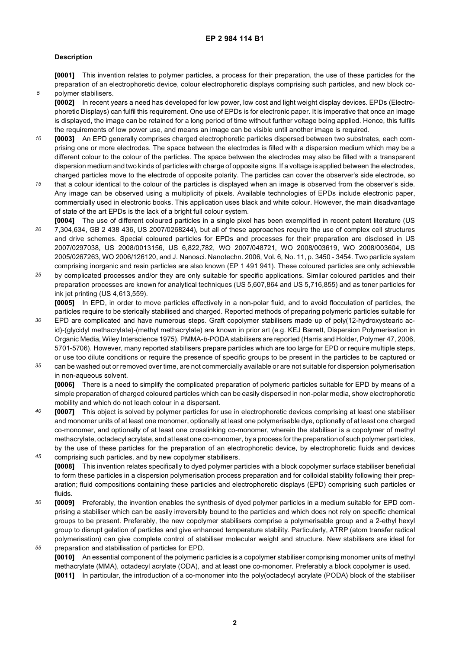#### **Description**

*5*

**[0001]** This invention relates to polymer particles, a process for their preparation, the use of these particles for the preparation of an electrophoretic device, colour electrophoretic displays comprising such particles, and new block copolymer stabilisers.

**[0002]** In recent years a need has developed for low power, low cost and light weight display devices. EPDs (Electrophoretic Displays) can fulfil this requirement. One use of EPDs is for electronic paper. It is imperative that once an image is displayed, the image can be retained for a long period of time without further voltage being applied. Hence, this fulfils the requirements of low power use, and means an image can be visible until another image is required.

- *10* **[0003]** An EPD generally comprises charged electrophoretic particles dispersed between two substrates, each comprising one or more electrodes. The space between the electrodes is filled with a dispersion medium which may be a different colour to the colour of the particles. The space between the electrodes may also be filled with a transparent dispersion medium and two kinds of particles with charge of opposite signs. If a voltage is applied between the electrodes, charged particles move to the electrode of opposite polarity. The particles can cover the observer's side electrode, so
- *15* that a colour identical to the colour of the particles is displayed when an image is observed from the observer's side. Any image can be observed using a multiplicity of pixels. Available technologies of EPDs include electronic paper, commercially used in electronic books. This application uses black and white colour. However, the main disadvantage of state of the art EPDs is the lack of a bright full colour system.
- *20* **[0004]** The use of different coloured particles in a single pixel has been exemplified in recent patent literature (US 7,304,634, GB 2 438 436, US 2007/0268244), but all of these approaches require the use of complex cell structures and drive schemes. Special coloured particles for EPDs and processes for their preparation are disclosed in US 2007/0297038, US 2008/0013156, US 6,822,782, WO 2007/048721, WO 2008/003619, WO 2008/003604, US 2005/0267263, WO 2006/126120, and J. Nanosci. Nanotechn. 2006, Vol. 6, No. 11, p. 3450 - 3454. Two particle system comprising inorganic and resin particles are also known (EP 1 491 941). These coloured particles are only achievable
- *25* by complicated processes and/or they are only suitable for specific applications. Similar coloured particles and their preparation processes are known for analytical techniques (US 5,607,864 and US 5,716,855) and as toner particles for ink jet printing (US 4,613,559).

**[0005]** In EPD, in order to move particles effectively in a non-polar fluid, and to avoid flocculation of particles, the particles require to be sterically stabilised and charged. Reported methods of preparing polymeric particles suitable for

- *30* EPD are complicated and have numerous steps. Graft copolymer stabilisers made up of poly(12-hydroxystearic acid)-(glycidyl methacrylate)-(methyl methacrylate) are known in prior art (e.g. KEJ Barrett, Dispersion Polymerisation in Organic Media, Wiley Interscience 1975). PMMA-*b*-PODA stabilisers are reported (Harris and Holder, Polymer 47, 2006, 5701-5706). However, many reported stabilisers prepare particles which are too large for EPD or require multiple steps, or use too dilute conditions or require the presence of specific groups to be present in the particles to be captured or
- *35* can be washed out or removed over time, are not commercially available or are not suitable for dispersion polymerisation in non-aqueous solvent.

**[0006]** There is a need to simplify the complicated preparation of polymeric particles suitable for EPD by means of a simple preparation of charged coloured particles which can be easily dispersed in non-polar media, show electrophoretic mobility and which do not leach colour in a dispersant.

- *40* **[0007]** This object is solved by polymer particles for use in electrophoretic devices comprising at least one stabiliser and monomer units of at least one monomer, optionally at least one polymerisable dye, optionally of at least one charged co-monomer, and optionally of at least one crosslinking co-monomer, wherein the stabiliser is a copolymer of methyl methacrylate, octadecyl acrylate, and at least one co-monomer, by a process for the preparation of such polymer particles, by the use of these particles for the preparation of an electrophoretic device, by electrophoretic fluids and devices
- *45* comprising such particles, and by new copolymer stabilisers. **[0008]** This invention relates specifically to dyed polymer particles with a block copolymer surface stabiliser beneficial to form these particles in a dispersion polymerisation process preparation and for colloidal stability following their preparation; fluid compositions containing these particles and electrophoretic displays (EPD) comprising such particles or fluids.
- *50 55* **[0009]** Preferably, the invention enables the synthesis of dyed polymer particles in a medium suitable for EPD comprising a stabiliser which can be easily irreversibly bound to the particles and which does not rely on specific chemical groups to be present. Preferably, the new copolymer stabilisers comprise a polymerisable group and a 2-ethyl hexyl group to disrupt gelation of particles and give enhanced temperature stability. Particularly, ATRP (atom transfer radical polymerisation) can give complete control of stabiliser molecular weight and structure. New stabilisers are ideal for
	- preparation and stabilisation of particles for EPD. **[0010]** An essential component of the polymeric particles is a copolymer stabiliser comprising monomer units of methyl methacrylate (MMA), octadecyl acrylate (ODA), and at least one co-monomer. Preferably a block copolymer is used. **[0011]** In particular, the introduction of a co-monomer into the poly(octadecyl acrylate (PODA) block of the stabiliser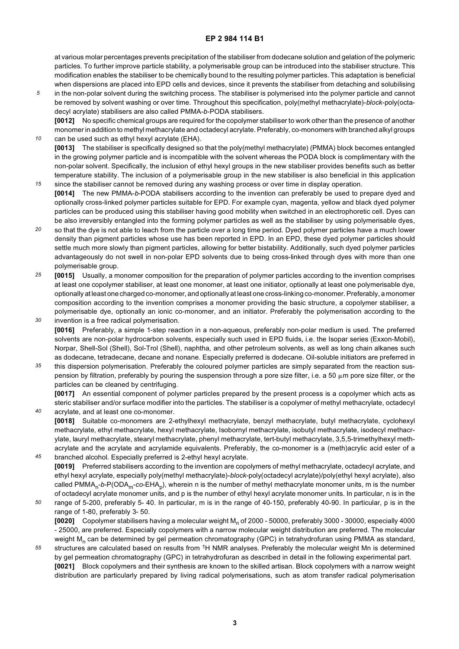at various molar percentages prevents precipitation of the stabiliser from dodecane solution and gelation of the polymeric particles. To further improve particle stability, a polymerisable group can be introduced into the stabiliser structure. This modification enables the stabiliser to be chemically bound to the resulting polymer particles. This adaptation is beneficial when dispersions are placed into EPD cells and devices, since it prevents the stabiliser from detaching and solubilising

*5* in the non-polar solvent during the switching process. The stabiliser is polymerised into the polymer particle and cannot be removed by solvent washing or over time. Throughout this specification, poly(methyl methacrylate)-*block*-poly(octadecyl acrylate) stabilisers are also called PMMA-*b*-PODA stabilisers.

*10*

*40*

**[0012]** No specific chemical groups are required for the copolymer stabiliser to work other than the presence of another monomer in addition to methyl methacrylate and octadecyl acrylate. Preferably, co-monomers with branched alkyl groups can be used such as ethyl hexyl acrylate (EHA).

**[0013]** The stabiliser is specifically designed so that the poly(methyl methacrylate) (PMMA) block becomes entangled in the growing polymer particle and is incompatible with the solvent whereas the PODA block is complimentary with the non-polar solvent. Specifically, the inclusion of ethyl hexyl groups in the new stabiliser provides benefits such as better temperature stability. The inclusion of a polymerisable group in the new stabiliser is also beneficial in this application

- *15* since the stabiliser cannot be removed during any washing process or over time in display operation. **[0014]** The new PMMA-*b*-PODA stabilisers according to the invention can preferably be used to prepare dyed and optionally cross-linked polymer particles suitable for EPD. For example cyan, magenta, yellow and black dyed polymer particles can be produced using this stabiliser having good mobility when switched in an electrophoretic cell. Dyes can be also irreversibly entangled into the forming polymer particles as well as the stabiliser by using polymerisable dyes,
- *20* so that the dye is not able to leach from the particle over a long time period. Dyed polymer particles have a much lower density than pigment particles whose use has been reported in EPD. In an EPD, these dyed polymer particles should settle much more slowly than pigment particles, allowing for better bistability. Additionally, such dyed polymer particles advantageously do not swell in non-polar EPD solvents due to being cross-linked through dyes with more than one polymerisable group.
- *25 30* **[0015]** Usually, a monomer composition for the preparation of polymer particles according to the invention comprises at least one copolymer stabiliser, at least one monomer, at least one initiator, optionally at least one polymerisable dye, optionally at least one charged co-monomer, and optionally at least one cross-linking co-monomer. Preferably, a monomer composition according to the invention comprises a monomer providing the basic structure, a copolymer stabiliser, a polymerisable dye, optionally an ionic co-monomer, and an initiator. Preferably the polymerisation according to the invention is a free radical polymerisation.

**[0016]** Preferably, a simple 1-step reaction in a non-aqueous, preferably non-polar medium is used. The preferred solvents are non-polar hydrocarbon solvents, especially such used in EPD fluids, i.e. the Isopar series (Exxon-Mobil), Norpar, Shell-Sol (Shell), Sol-Trol (Shell), naphtha, and other petroleum solvents, as well as long chain alkanes such as dodecane, tetradecane, decane and nonane. Especially preferred is dodecane. Oil-soluble initiators are preferred in

*35* this dispersion polymerisation. Preferably the coloured polymer particles are simply separated from the reaction suspension by filtration, preferably by pouring the suspension through a pore size filter, i.e. a 50  $\mu$ m pore size filter, or the particles can be cleaned by centrifuging.

**[0017]** An essential component of polymer particles prepared by the present process is a copolymer which acts as steric stabiliser and/or surface modifier into the particles. The stabiliser is a copolymer of methyl methacrylate, octadecyl acrylate, and at least one co-monomer.

- **[0018]** Suitable co-monomers are 2-ethylhexyl methacrylate, benzyl methacrylate, butyl methacrylate, cyclohexyl methacrylate, ethyl methacrylate, hexyl methacrylate, Isobornyl methacrylate, isobutyl methacrylate, isodecyl methacrylate, lauryl methacrylate, stearyl methacrylate, phenyl methacrylate, tert-butyl methacrylate, 3,5,5-trimethylhexyl methacrylate and the acrylate and acrylamide equivalents. Preferably, the co-monomer is a (meth)acrylic acid ester of a
- *45* branched alcohol. Especially preferred is 2-ethyl hexyl acrylate. **[0019]** Preferred stabilisers according to the invention are copolymers of methyl methacrylate, octadecyl acrylate, and ethyl hexyl acrylate, especially poly(methyl methacrylate)-*block-*poly(octadecyl acrylate)/poly(ethyl hexyl acrylate), also called PMMA<sub>n</sub>-*b-*P(ODA<sub>m</sub>-co-EHA<sub>p</sub>), wherein n is the number of methyl methacrylate monomer units, m is the number of octadecyl acrylate monomer units, and p is the number of ethyl hexyl acrylate monomer units. In particular, n is in the
- *50* range of 5-200, preferably 5- 40. In particular, m is in the range of 40-150, preferably 40-90. In particular, p is in the range of 1-80, preferably 3- 50. **[0020]** Copolymer stabilisers having a molecular weight M<sub>n</sub> of 2000 - 50000, preferably 3000 - 30000, especially 4000 - 25000, are preferred. Especially copolymers with a narrow molecular weight distribution are preferred. The molecular weight M<sub>n</sub> can be determined by gel permeation chromatography (GPC) in tetrahydrofuran using PMMA as standard,
- *55* structures are calculated based on results from <sup>1</sup>H NMR analyses. Preferably the molecular weight Mn is determined by gel permeation chromatography (GPC) in tetrahydrofuran as described in detail in the following experimental part. **[0021]** Block copolymers and their synthesis are known to the skilled artisan. Block copolymers with a narrow weight distribution are particularly prepared by living radical polymerisations, such as atom transfer radical polymerisation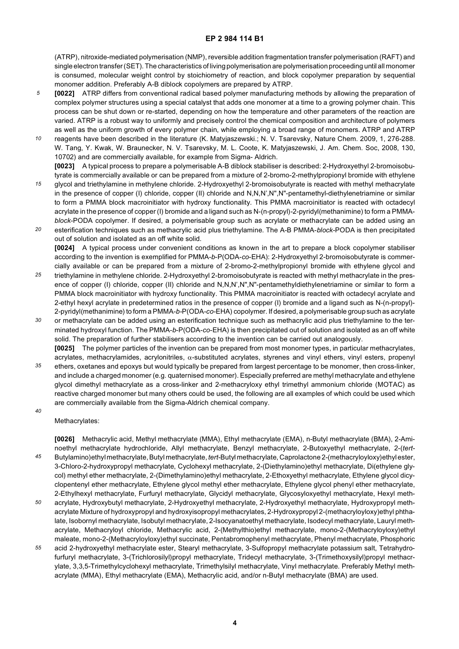(ATRP), nitroxide-mediated polymerisation (NMP), reversible addition fragmentation transfer polymerisation (RAFT) and single electron transfer (SET). The characteristics of living polymerisation are polymerisation proceeding until all monomer is consumed, molecular weight control by stoichiometry of reaction, and block copolymer preparation by sequential monomer addition. Preferably A-B diblock copolymers are prepared by ATRP.

- *5* **[0022]** ATRP differs from conventional radical based polymer manufacturing methods by allowing the preparation of complex polymer structures using a special catalyst that adds one monomer at a time to a growing polymer chain. This process can be shut down or re-started, depending on how the temperature and other parameters of the reaction are varied. ATRP is a robust way to uniformly and precisely control the chemical composition and architecture of polymers as well as the uniform growth of every polymer chain, while employing a broad range of monomers. ATRP and ATRP
- *10* reagents have been described in the literature (K. Matyjaszewski.; N. V. Tsarevsky, Nature Chem. 2009, 1, 276-288. W. Tang, Y. Kwak, W. Braunecker, N. V. Tsarevsky, M. L. Coote, K. Matyjaszewski, J. Am. Chem. Soc, 2008, 130, 10702) and are commercially available, for example from Sigma- Aldrich. **[0023]** A typical process to prepare a polymerisable A-B diblock stabiliser is described: 2-Hydroxyethyl 2-bromoisobu-
- *15* tyrate is commercially available or can be prepared from a mixture of 2-bromo-2-methylpropionyl bromide with ethylene glycol and triethylamine in methylene chloride. 2-Hydroxyethyl 2-bromoisobutyrate is reacted with methyl methacrylate in the presence of copper (I) chloride, copper (II) chloride and N,N,N',N",N"-pentamethyl-diethylenetriamine or similar to form a PMMA block macroinitiator with hydroxy functionality. This PMMA macroinitiator is reacted with octadecyl acrylate in the presence of copper (I) bromide and a ligand such as N-(n-propyl)-2-pyridyl(methanimine) to form a PMMA*block-*PODA copolymer. If desired, a polymerisable group such as acrylate or methacrylate can be added using an
- *20* esterification techniques such as methacrylic acid plus triethylamine. The A-B PMMA-*block*-PODA is then precipitated out of solution and isolated as an off white solid. **[0024]** A typical process under convenient conditions as known in the art to prepare a block copolymer stabiliser according to the invention is exemplified for PMMA-*b*-P(ODA-*co*-EHA): 2-Hydroxyethyl 2-bromoisobutyrate is commercially available or can be prepared from a mixture of 2-bromo-2-methylpropionyl bromide with ethylene glycol and
- *25* triethylamine in methylene chloride. 2-Hydroxyethyl 2-bromoisobutyrate is reacted with methyl methacrylate in the presence of copper (I) chloride, copper (II) chloride and N,N,N',N",N"-pentamethyldiethylenetriamine or similar to form a PMMA block macroinitiator with hydroxy functionality. This PMMA macroinitiator is reacted with octadecyl acrylate and 2-ethyl hexyl acrylate in predetermined ratios in the presence of copper (I) bromide and a ligand such as N-(n-propyl)- 2-pyridyl(methanimine) to form a PMMA-*b-*P(ODA-*co*-EHA) copolymer. If desired, a polymerisable group such as acrylate
- *30* or methacrylate can be added using an esterification technique such as methacrylic acid plus triethylamine to the terminated hydroxyl function. The PMMA-*b*-P(ODA-*co*-EHA) is then precipitated out of solution and isolated as an off white solid. The preparation of further stabilisers according to the invention can be carried out analogously. **[0025]** The polymer particles of the invention can be prepared from most monomer types, in particular methacrylates,

acrylates, methacrylamides, acrylonitriles, α-substituted acrylates, styrenes and vinyl ethers, vinyl esters, propenyl

*35* ethers, oxetanes and epoxys but would typically be prepared from largest percentage to be monomer, then cross-linker, and include a charged monomer (e.g. quaternised monomer). Especially preferred are methyl methacrylate and ethylene glycol dimethyl methacrylate as a cross-linker and 2-methacryloxy ethyl trimethyl ammonium chloride (MOTAC) as reactive charged monomer but many others could be used, the following are all examples of which could be used which are commercially available from the Sigma-Aldrich chemical company.

*40*

Methacrylates:

*45* **[0026]** Methacrylic acid, Methyl methacrylate (MMA), Ethyl methacrylate (EMA), n-Butyl methacrylate (BMA), 2-Aminoethyl methacrylate hydrochloride, Allyl methacrylate, Benzyl methacrylate, 2-Butoxyethyl methacrylate, 2-(*tert-*Butylamino)ethyl methacrylate, Butyl methacrylate, *tert*-Butyl methacrylate, Caprolactone 2-(methacryloyloxy)ethyl ester, 3-Chloro-2-hydroxypropyl methacrylate, Cyclohexyl methacrylate, 2-(Diethylamino)ethyl methacrylate, Di(ethylene glycol) methyl ether methacrylate, 2-(Dimethylamino)ethyl methacrylate, 2-Ethoxyethyl methacrylate, Ethylene glycol dicyclopentenyl ether methacrylate, Ethylene glycol methyl ether methacrylate, Ethylene glycol phenyl ether methacrylate, 2-Ethylhexyl methacrylate, Furfuryl methacrylate, Glycidyl methacrylate, Glycosyloxyethyl methacrylate, Hexyl meth-

- *50* acrylate, Hydroxybutyl methacrylate, 2-Hydroxyethyl methacrylate, 2-Hydroxyethyl methacrylate, Hydroxypropyl methacrylate Mixture of hydroxypropyl and hydroxyisopropyl methacrylates, 2-Hydroxypropyl 2-(methacryloyloxy)ethyl phthalate, Isobornyl methacrylate, Isobutyl methacrylate, 2-Isocyanatoethyl methacrylate, Isodecyl methacrylate, Lauryl methacrylate, Methacryloyl chloride, Methacrylic acid, 2-(Methylthio)ethyl methacrylate, mono-2-(Methacryloyloxy)ethyl maleate, mono-2-(Methacryloyloxy)ethyl succinate, Pentabromophenyl methacrylate, Phenyl methacrylate, Phosphoric
- *55* acid 2-hydroxyethyl methacrylate ester, Stearyl methacrylate, 3-Sulfopropyl methacrylate potassium salt, Tetrahydrofurfuryl methacrylate, 3-(Trichlorosilyl)propyl methacrylate, Tridecyl methacrylate, 3-(Trimethoxysilyl)propyl methacrylate, 3,3,5-Trimethylcyclohexyl methacrylate, Trimethylsilyl methacrylate, Vinyl methacrylate. Preferably Methyl methacrylate (MMA), Ethyl methacrylate (EMA), Methacrylic acid, and/or n-Butyl methacrylate (BMA) are used.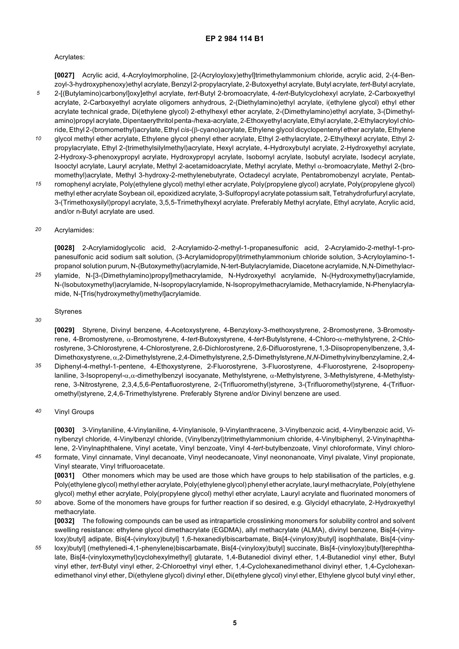#### Acrylates:

*5* **[0027]** Acrylic acid, 4-Acryloylmorpholine, [2-(Acryloyloxy)ethyl]trimethylammonium chloride, acrylic acid, 2-(4-Benzoyl-3-hydroxyphenoxy)ethyl acrylate, Benzyl 2-propylacrylate, 2-Butoxyethyl acrylate, Butyl acrylate, *tert*-Butyl acrylate, 2-[(Butylamino)carbonyl]oxy]ethyl acrylate, *tert*-Butyl 2-bromoacrylate, 4-*tert*-Butylcyclohexyl acrylate, 2-Carboxyethyl acrylate, 2-Carboxyethyl acrylate oligomers anhydrous, 2-(Diethylamino)ethyl acrylate, i(ethylene glycol) ethyl ether acrylate technical grade, Di(ethylene glycol) 2-ethylhexyl ether acrylate, 2-(Dimethylamino)ethyl acrylate, 3-(Dimethylamino)propyl acrylate, Dipentaerythritol penta-/hexa-acrylate, 2-Ethoxyethyl acrylate, Ethyl acrylate, 2-Ethylacryloyl chloride, Ethyl 2-(bromomethyl)acrylate, Ethyl *cis*-(β-cyano)acrylate, Ethylene glycol dicyclopentenyl ether acrylate, Ethylene

*10* glycol methyl ether acrylate, Ethylene glycol phenyl ether acrylate, Ethyl 2-ethylacrylate, 2-Ethylhexyl acrylate, Ethyl 2 propylacrylate, Ethyl 2-(trimethylsilylmethyl)acrylate, Hexyl acrylate, 4-Hydroxybutyl acrylate, 2-Hydroxyethyl acrylate, 2-Hydroxy-3-phenoxypropyl acrylate, Hydroxypropyl acrylate, Isobornyl acrylate, Isobutyl acrylate, Isodecyl acrylate, Isooctyl acrylate, Lauryl acrylate, Methyl 2-acetamidoacrylate, Methyl acrylate, Methyl α-bromoacrylate, Methyl 2-(bromomethyl)acrylate, Methyl 3-hydroxy-2-methylenebutyrate, Octadecyl acrylate, Pentabromobenzyl acrylate, Pentab-

*15* romophenyl acrylate, Poly(ethylene glycol) methyl ether acrylate, Poly(propylene glycol) acrylate, Poly(propylene glycol) methyl ether acrylate Soybean oil, epoxidized acrylate, 3-Sulfopropyl acrylate potassium salt, Tetrahydrofurfuryl acrylate, 3-(Trimethoxysilyl)propyl acrylate, 3,5,5-Trimethylhexyl acrylate. Preferably Methyl acrylate, Ethyl acrylate, Acrylic acid, and/or n-Butyl acrylate are used.

#### *20* Acrylamides:

**[0028]** 2-Acrylamidoglycolic acid, 2-Acrylamido-2-methyl-1-propanesulfonic acid, 2-Acrylamido-2-methyl-1-propanesulfonic acid sodium salt solution, (3-Acrylamidopropyl)trimethylammonium chloride solution, 3-Acryloylamino-1 propanol solution purum, N-(Butoxymethyl)acrylamide, N-tert-Butylacrylamide, Diacetone acrylamide, N,N-Dimethylacrylamide, N-[3-(Dimethylamino)propyl]methacrylamide, N-Hydroxyethyl acrylamide, N-(Hydroxymethyl)acrylamide, N-(Isobutoxymethyl)acrylamide, N-Isopropylacrylamide, N-Isopropylmethacrylamide, Methacrylamide, N-Phenylacrylamide, N-[Tris(hydroxymethyl)methyl]acrylamide.

#### *30* Styrenes

*25*

**[0029]** Styrene, Divinyl benzene, 4-Acetoxystyrene, 4-Benzyloxy-3-methoxystyrene, 2-Bromostyrene, 3-Bromostyrene, 4-Bromostyrene, α-Bromostyrene, 4-*tert*-Butoxystyrene, 4-*tert*-Butylstyrene, 4-Chloro-α-methylstyrene, 2-Chlorostyrene, 3-Chlorostyrene, 4-Chlorostyrene, 2,6-Dichlorostyrene, 2,6-Difluorostyrene, 1,3-Diisopropenylbenzene, 3,4- Dimethoxystyrene, α,2-Dimethylstyrene, 2,4-Dimethylstyrene, 2,5-Dimethylstyrene,*N*,*N*-Dimethylvinylbenzylamine, 2,4-

*35* Diphenyl-4-methyl-1-pentene, 4-Ethoxystyrene, 2-Fluorostyrene, 3-Fluorostyrene, 4-Fluorostyrene, 2-Isopropenylaniline, 3-Isopropenyl-α,α-dimethylbenzyl isocyanate, Methylstyrene, α-Methylstyrene, 3-Methylstyrene, 4-Methylstyrene, 3-Nitrostyrene, 2,3,4,5,6-Pentafluorostyrene, 2-(Trifluoromethyl)styrene, 3-(Trifluoromethyl)styrene, 4-(Trifluoromethyl)styrene, 2,4,6-Trimethylstyrene. Preferably Styrene and/or Divinyl benzene are used.

#### *40* Vinyl Groups

**[0030]** 3-Vinylaniline, 4-Vinylaniline, 4-Vinylanisole, 9-Vinylanthracene, 3-Vinylbenzoic acid, 4-Vinylbenzoic acid, Vinylbenzyl chloride, 4-Vinylbenzyl chloride, (Vinylbenzyl)trimethylammonium chloride, 4-Vinylbiphenyl, 2-Vinylnaphthalene, 2-Vinylnaphthalene, Vinyl acetate, Vinyl benzoate, Vinyl 4*-tert-*butylbenzoate, Vinyl chloroformate, Vinyl chloro-

*45* formate, Vinyl cinnamate, Vinyl decanoate, Vinyl neodecanoate, Vinyl neononanoate, Vinyl pivalate, Vinyl propionate, Vinyl stearate, Vinyl trifluoroacetate.

**[0031]** Other monomers which may be used are those which have groups to help stabilisation of the particles, e.g. Poly(ethylene glycol) methyl ether acrylate, Poly(ethylene glycol) phenyl ether acrylate, lauryl methacrylate, Poly(ethylene glycol) methyl ether acrylate, Poly(propylene glycol) methyl ether acrylate, Lauryl acrylate and fluorinated monomers of

*50* above. Some of the monomers have groups for further reaction if so desired, e.g. Glycidyl ethacrylate, 2-Hydroxyethyl methacrylate.

**[0032]** The following compounds can be used as intraparticle crosslinking monomers for solubility control and solvent swelling resistance: ethylene glycol dimethacrylate (EGDMA), allyl methacrylate (ALMA), divinyl benzene, Bis[4-(vinyloxy)butyl] adipate, Bis[4-(vinyloxy)butyl] 1,6-hexanediylbiscarbamate, Bis[4-(vinyloxy)butyl] isophthalate, Bis[4-(viny-

*55* loxy)butyl] (methylenedi-4,1-phenylene)biscarbamate, Bis[4-(vinyloxy)butyl] succinate, Bis[4-(vinyloxy)butyl]terephthalate, Bis[4-(vinyloxymethyl)cyclohexylmethyl] glutarate, 1,4-Butanediol divinyl ether, 1,4-Butanediol vinyl ether, Butyl vinyl ether, *tert*-Butyl vinyl ether, 2-Chloroethyl vinyl ether, 1,4-Cyclohexanedimethanol divinyl ether, 1,4-Cyclohexanedimethanol vinyl ether, Di(ethylene glycol) divinyl ether, Di(ethylene glycol) vinyl ether, Ethylene glycol butyl vinyl ether,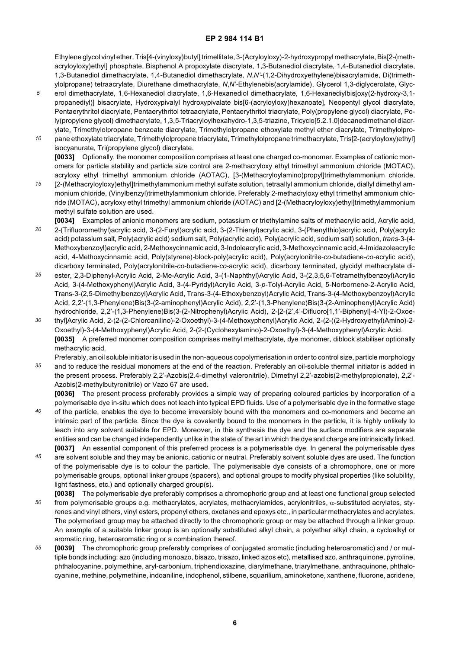Ethylene glycol vinyl ether, Tris[4-(vinyloxy)butyl] trimellitate, 3-(Acryloyloxy)-2-hydroxypropyl methacrylate, Bis[2-(methacryloyloxy)ethyl] phosphate, Bisphenol A propoxylate diacrylate, 1,3-Butanediol diacrylate, 1,4-Butanediol diacrylate, 1,3-Butanediol dimethacrylate, 1,4-Butanediol dimethacrylate, *N*,*N'*-(1,2-Dihydroxyethylene)bisacrylamide, Di(trimethylolpropane) tetraacrylate, Diurethane dimethacrylate, *N*,*N'-*Ethylenebis(acrylamide), Glycerol 1,3-diglycerolate, Glyc-

- *5* erol dimethacrylate, 1,6-Hexanediol diacrylate, 1,6-Hexanediol dimethacrylate, 1,6-Hexanediylbis[oxy(2-hydroxy-3,1 propanediyl)] bisacrylate, Hydroxypivalyl hydroxypivalate bis[6-(acryloyloxy)hexanoate], Neopentyl glycol diacrylate, Pentaerythritol diacrylate, Pentaerythritol tetraacrylate, Pentaerythritol triacrylate, Poly(propylene glycol) diacrylate, Poly(propylene glycol) dimethacrylate, 1,3,5-Triacryloylhexahydro-1,3,5-triazine, Tricyclo[5.2.1.0]decanedimethanol diacrylate, Trimethylolpropane benzoate diacrylate, Trimethylolpropane ethoxylate methyl ether diacrylate, Trimethylolpro-
- *10* pane ethoxylate triacrylate, Trimethylolpropane triacrylate, Trimethylolpropane trimethacrylate, Tris[2-(acryloyloxy)ethyl] isocyanurate, Tri(propylene glycol) diacrylate. **[0033]** Optionally, the monomer composition comprises at least one charged co-monomer. Examples of cationic monomers for particle stability and particle size control are 2-methacryloxy ethyl trimethyl ammonium chloride (MOTAC),
- *15* acryloxy ethyl trimethyl ammonium chloride (AOTAC), [3-(Methacryloylamino)propyl]trimethylammonium chloride, [2-(Methacryloyloxy)ethyl]trimethylammonium methyl sulfate solution, tetraallyl ammonium chloride, diallyl dimethyl ammonium chloride, (Vinylbenzyl)trimethylammonium chloride. Preferably 2-methacryloxy ethyl trimethyl ammonium chloride (MOTAC), acryloxy ethyl trimethyl ammonium chloride (AOTAC) and [2-(Methacryloyloxy)ethyl]trimethylammonium methyl sulfate solution are used.
- *20* **[0034]** Examples of anionic monomers are sodium, potassium or triethylamine salts of methacrylic acid, Acrylic acid, 2-(Trifluoromethyl)acrylic acid, 3-(2-Furyl)acrylic acid, 3-(2-Thienyl)acrylic acid, 3-(Phenylthio)acrylic acid, Poly(acrylic acid) potassium salt, Poly(acrylic acid) sodium salt, Poly(acrylic acid), Poly(acrylic acid, sodium salt) solution, *trans*-3-(4- Methoxybenzoyl)acrylic acid, 2-Methoxycinnamic acid, 3-Indoleacrylic acid, 3-Methoxycinnamic acid, 4-Imidazoleacrylic acid, 4-Methoxycinnamic acid, Poly(styrene)-block-poly(acrylic acid), Poly(acrylonitrile-*co*-butadiene-*co-*acrylic acid), dicarboxy terminated, Poly(acrylonitrile-*co*-butadiene-*co*-acrylic acid), dicarboxy terminated, glycidyl methacrylate di-
- *25* ester, 2,3-Diphenyl-Acrylic Acid, 2-Me-Acrylic Acid, 3-(1-Naphthyl)Acrylic Acid, 3-(2,3,5,6-Tetramethylbenzoyl)Acrylic Acid, 3-(4-Methoxyphenyl)Acrylic Acid, 3-(4-Pyridyl)Acrylic Acid, 3-*p*-Tolyl-Acrylic Acid, 5-Norbornene-2-Acrylic Acid, Trans-3-(2,5-Dimethylbenzoyl)Acrylic Acid, Trans-3-(4-Ethoxybenzoyl)Acrylic Acid, Trans-3-(4-Methoxybenzoyl)Acrylic Acid, 2,2'-(1,3-Phenylene)Bis(3-(2-aminophenyl)Acrylic Acid), 2,2'-(1,3-Phenylene)Bis(3-(2-Aminophenyl)Acrylic Acid) hydrochloride, 2,2'-(1,3-Phenylene)Bis(3-(2-Nitrophenyl)Acrylic Acid), 2-[2-(2',4'-Difluoro[1,1'-Biphenyl]-4-Yl)-2-Oxoe-
- *30* thyl]Acrylic Acid, 2-(2-(2-Chloroanilino)-2-Oxoethyl)-3-(4-Methoxyphenyl)Acrylic Acid, 2-(2-((2-Hydroxyethyl)Amino)-2- Oxoethyl)-3-(4-Methoxyphenyl)Acrylic Acid, 2-(2-(Cyclohexylamino)-2-Oxoethyl)-3-(4-Methoxyphenyl)Acrylic Acid. **[0035]** A preferred monomer composition comprises methyl methacrylate, dye monomer, diblock stabiliser optionally methacrylic acid.
- *35* Preferably, an oil soluble initiator is used in the non-aqueous copolymerisation in order to control size, particle morphology and to reduce the residual monomers at the end of the reaction. Preferably an oil-soluble thermal initiator is added in the present process. Preferably 2,2'-Azobis(2.4-dimethyl valeronitrile), Dimethyl 2,2'-azobis(2-methylpropionate), 2,2'-
	- Azobis(2-methylbutyronitrile) or Vazo 67 are used. **[0036]** The present process preferably provides a simple way of preparing coloured particles by incorporation of a polymerisable dye in-situ which does not leach into typical EPD fluids. Use of a polymerisable dye in the formative stage of the particle, enables the dye to become irreversibly bound with the monomers and co-monomers and become an
- intrinsic part of the particle. Since the dye is covalently bound to the monomers in the particle, it is highly unlikely to leach into any solvent suitable for EPD. Moreover, in this synthesis the dye and the surface modifiers are separate entities and can be changed independently unlike in the state of the art in which the dye and charge are intrinsically linked. **[0037]** An essential component of this preferred process is a polymerisable dye. In general the polymerisable dyes

- *45* are solvent soluble and they may be anionic, cationic or neutral. Preferably solvent soluble dyes are used. The function of the polymerisable dye is to colour the particle. The polymerisable dye consists of a chromophore, one or more polymerisable groups, optional linker groups (spacers), and optional groups to modify physical properties (like solubility, light fastness, etc.) and optionally charged group(s).
- *50* **[0038]** The polymerisable dye preferably comprises a chromophoric group and at least one functional group selected from polymerisable groups e.g. methacrylates, acrylates, methacrylamides, acrylonitriles, α-substituted acrylates, styrenes and vinyl ethers, vinyl esters, propenyl ethers, oxetanes and epoxys etc., in particular methacrylates and acrylates. The polymerised group may be attached directly to the chromophoric group or may be attached through a linker group. An example of a suitable linker group is an optionally substituted alkyl chain, a polyether alkyl chain, a cycloalkyl or aromatic ring, heteroaromatic ring or a combination thereof.
- *55* **[0039]** The chromophoric group preferably comprises of conjugated aromatic (including heteroaromatic) and / or multiple bonds including: azo (including monoazo, bisazo, trisazo, linked azos etc), metallised azo, anthraquinone, pyrroline, phthalocyanine, polymethine, aryl-carbonium, triphendioxazine, diarylmethane, triarylmethane, anthraquinone, phthalocyanine, methine, polymethine, indoaniline, indophenol, stilbene, squarilium, aminoketone, xanthene, fluorone, acridene,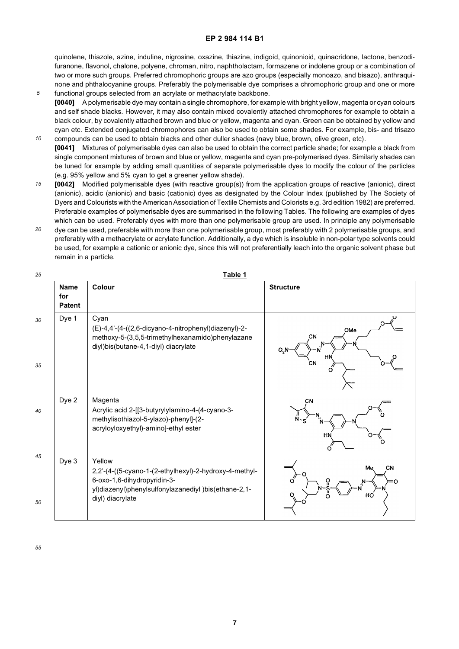quinolene, thiazole, azine, induline, nigrosine, oxazine, thiazine, indigoid, quinonioid, quinacridone, lactone, benzodifuranone, flavonol, chalone, polyene, chroman, nitro, naphtholactam, formazene or indolene group or a combination of two or more such groups. Preferred chromophoric groups are azo groups (especially monoazo, and bisazo), anthraquinone and phthalocyanine groups. Preferably the polymerisable dye comprises a chromophoric group and one or more functional groups selected from an acrylate or methacrylate backbone.

- *5 10* **[0040]** A polymerisable dye may contain a single chromophore, for example with bright yellow, magenta or cyan colours and self shade blacks. However, it may also contain mixed covalently attached chromophores for example to obtain a black colour, by covalently attached brown and blue or yellow, magenta and cyan. Green can be obtained by yellow and cyan etc. Extended conjugated chromophores can also be used to obtain some shades. For example, bis- and trisazo
- compounds can be used to obtain blacks and other duller shades (navy blue, brown, olive green, etc). **[0041]** Mixtures of polymerisable dyes can also be used to obtain the correct particle shade; for example a black from single component mixtures of brown and blue or yellow, magenta and cyan pre-polymerised dyes. Similarly shades can be tuned for example by adding small quantities of separate polymerisable dyes to modify the colour of the particles (e.g. 95% yellow and 5% cyan to get a greener yellow shade).
- *15* **[0042]** Modified polymerisable dyes (with reactive group(s)) from the application groups of reactive (anionic), direct (anionic), acidic (anionic) and basic (cationic) dyes as designated by the Colour Index (published by The Society of Dyers and Colourists with the American Association of Textile Chemists and Colorists e.g. 3rd edition 1982) are preferred. Preferable examples of polymerisable dyes are summarised in the following Tables. The following are examples of dyes which can be used. Preferably dyes with more than one polymerisable group are used. In principle any polymerisable
- *20* dye can be used, preferable with more than one polymerisable group, most preferably with 2 polymerisable groups, and preferably with a methacrylate or acrylate function. Additionally, a dye which is insoluble in non-polar type solvents could be used, for example a cationic or anionic dye, since this will not preferentially leach into the organic solvent phase but remain in a particle.

| 25       |                                     | Table 1                                                                                                                                                                     |                                           |
|----------|-------------------------------------|-----------------------------------------------------------------------------------------------------------------------------------------------------------------------------|-------------------------------------------|
|          | <b>Name</b><br>for<br><b>Patent</b> | Colour                                                                                                                                                                      | <b>Structure</b>                          |
| 30<br>35 | Dye 1                               | Cyan<br>(E)-4,4'-(4-((2,6-dicyano-4-nitrophenyl)diazenyl)-2-<br>methoxy-5-(3,5,5-trimethylhexanamido)phenylazane<br>diyl)bis(butane-4,1-diyl) diacrylate                    | OMe<br>CN<br>O <sub>2</sub> N<br>HN<br>СN |
| 40       | Dye 2                               | Magenta<br>Acrylic acid 2-[[3-butyrylylamino-4-(4-cyano-3-<br>methylisothiazol-5-ylazo)-phenyl]-(2-<br>acryloyloxyethyl)-amino]-ethyl ester                                 | CN<br>HN                                  |
| 45<br>50 | Dye 3                               | Yellow<br>2,2'-(4-((5-cyano-1-(2-ethylhexyl)-2-hydroxy-4-methyl-<br>6-oxo-1,6-dihydropyridin-3-<br>yl)diazenyl)phenylsulfonylazanediyl )bis(ethane-2,1-<br>diyl) diacrylate | Me<br><b>CN</b><br>но                     |

**Table 1**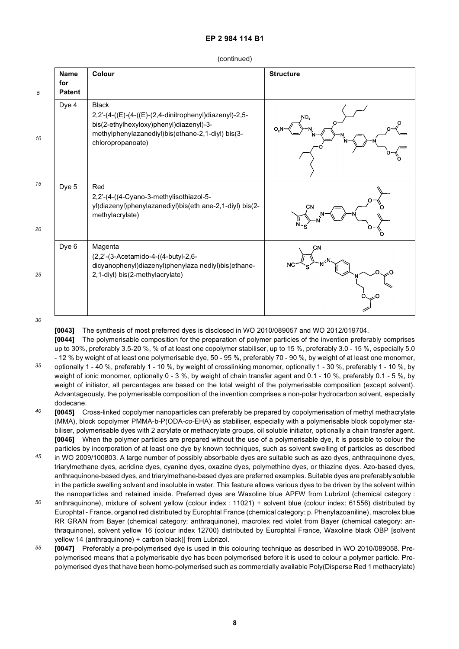| 5        | <b>Name</b><br>for<br><b>Patent</b> | Colour                                                                                                                                                                                      | <b>Structure</b> |
|----------|-------------------------------------|---------------------------------------------------------------------------------------------------------------------------------------------------------------------------------------------|------------------|
| 10       | Dye 4                               | <b>Black</b><br>2,2'-(4-((E)-(4-((E)-(2,4-dinitrophenyl)diazenyl)-2,5-<br>bis(2-ethylhexyloxy)phenyl)diazenyl)-3-<br>methylphenylazanediyl)bis(ethane-2,1-diyl) bis(3-<br>chloropropanoate) | NO <sub>2</sub>  |
| 15<br>20 | Dye 5                               | Red<br>2,2'-(4-((4-Cyano-3-methylisothiazol-5-<br>yl)diazenyl)phenylazanediyl)bis(eth ane-2,1-diyl) bis(2-<br>methylacrylate)                                                               | CN               |
| 25       | Dye 6                               | Magenta<br>(2,2'-(3-Acetamido-4-((4-butyl-2,6-<br>dicyanophenyl)diazenyl)phenylaza nediyl)bis(ethane-<br>2,1-diyl) bis(2-methylacrylate)                                                    | CN               |

*30*

**[0043]** The synthesis of most preferred dyes is disclosed in WO 2010/089057 and WO 2012/019704. **[0044]** The polymerisable composition for the preparation of polymer particles of the invention preferably comprises up to 30%, preferably 3.5-20 %, % of at least one copolymer stabiliser, up to 15 %, preferably 3.0 - 15 %, especially 5.0

- *35* - 12 % by weight of at least one polymerisable dye, 50 - 95 %, preferably 70 - 90 %, by weight of at least one monomer, optionally 1 - 40 %, preferably 1 - 10 %, by weight of crosslinking monomer, optionally 1 - 30 %, preferably 1 - 10 %, by weight of ionic monomer, optionally 0 - 3 %, by weight of chain transfer agent and 0.1 - 10 %, preferably 0.1 - 5 %, by weight of initiator, all percentages are based on the total weight of the polymerisable composition (except solvent). Advantageously, the polymerisable composition of the invention comprises a non-polar hydrocarbon solvent, especially dodecane.
- *40* **[0045]** Cross-linked copolymer nanoparticles can preferably be prepared by copolymerisation of methyl methacrylate (MMA), block copolymer PMMA-b-P(ODA-*co*-EHA) as stabiliser, especially with a polymerisable block copolymer stabiliser, polymerisable dyes with 2 acrylate or methacrylate groups, oil soluble initiator, optionally a chain transfer agent. **[0046]** When the polymer particles are prepared without the use of a polymerisable dye, it is possible to colour the particles by incorporation of at least one dye by known techniques, such as solvent swelling of particles as described
- *45* in WO 2009/100803. A large number of possibly absorbable dyes are suitable such as azo dyes, anthraquinone dyes, triarylmethane dyes, acridine dyes, cyanine dyes, oxazine dyes, polymethine dyes, or thiazine dyes. Azo-based dyes, anthraquinone-based dyes, and triarylmethane-based dyes are preferred examples. Suitable dyes are preferably soluble in the particle swelling solvent and insoluble in water. This feature allows various dyes to be driven by the solvent within the nanoparticles and retained inside. Preferred dyes are Waxoline blue APFW from Lubrizol (chemical category :
- *50* anthraquinone), mixture of solvent yellow (colour index : 11021) + solvent blue (colour index: 61556) distributed by Europhtal - France, organol red distributed by Europhtal France (chemical category: p. Phenylazoaniline), macrolex blue RR GRAN from Bayer (chemical category: anthraquinone), macrolex red violet from Bayer (chemical category: anthraquinone), solvent yellow 16 (colour index 12700) distributed by Europhtal France, Waxoline black OBP [solvent yellow 14 (anthraquinone) + carbon black)] from Lubrizol.
- *55* **[0047]** Preferably a pre-polymerised dye is used in this colouring technique as described in WO 2010/089058. Prepolymerised means that a polymerisable dye has been polymerised before it is used to colour a polymer particle. Prepolymerised dyes that have been homo-polymerised such as commercially available Poly(Disperse Red 1 methacrylate)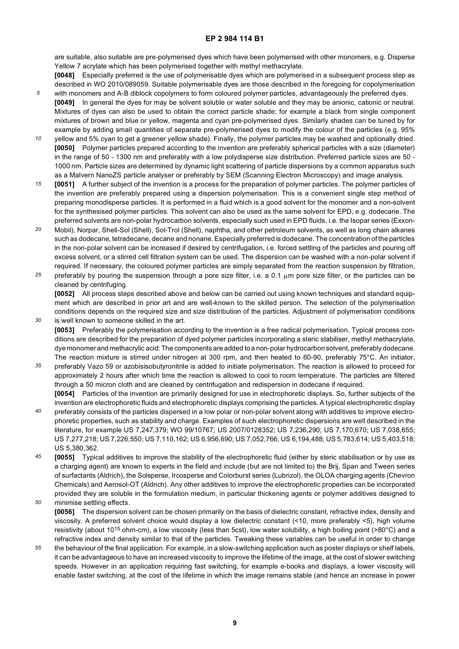are suitable, also suitable are pre-polymerised dyes which have been polymerised with other monomers, e.g. Disperse Yellow 7 acrylate which has been polymerised together with methyl methacrylate.

**[0048]** Especially preferred is the use of polymerisable dyes which are polymerised in a subsequent process step as described in WO 2010/089059. Suitable polymerisable dyes are those described in the foregoing for copolymerisation with monomers and A-B diblock copolymers to form coloured polymer particles, advantageously the preferred dyes.

**[0049]** In general the dyes for may be solvent soluble or water soluble and they may be anionic, cationic or neutral. Mixtures of dyes can also be used to obtain the correct particle shade; for example a black from single component mixtures of brown and blue or yellow, magenta and cyan pre-polymerised dyes. Similarly shades can be tuned by for example by adding small quantities of separate pre-polymerised dyes to modify the colour of the particles (e.g. 95%

*5*

*30*

- *10* yellow and 5% cyan to get a greener yellow shade). Finally, the polymer particles may be washed and optionally dried. **[0050]** Polymer particles prepared according to the invention are preferably spherical particles with a size (diameter) in the range of 50 - 1300 nm and preferably with a low polydisperse size distribution. Preferred particle sizes are 50 - 1000 nm. Particle sizes are determined by dynamic light scattering of particle dispersions by a common apparatus such as a Malvern NanoZS particle analyser or preferably by SEM (Scanning Electron Microscopy) and image analysis.
- *15* **[0051]** A further subject of the invention is a process for the preparation of polymer particles. The polymer particles of the invention are preferably prepared using a dispersion polymerisation. This is a convenient single step method of preparing monodisperse particles. It is performed in a fluid which is a good solvent for the monomer and a non-solvent for the synthesised polymer particles. This solvent can also be used as the same solvent for EPD, e.g. dodecane. The preferred solvents are non-polar hydrocarbon solvents, especially such used in EPD fluids, i.e. the Isopar series (Exxon-
- *20* Mobil), Norpar, Shell-Sol (Shell), Sol-Trol (Shell), naphtha, and other petroleum solvents, as well as long chain alkanes such as dodecane, tetradecane, decane and nonane. Especially preferred is dodecane. The concentration of the particles in the non-polar solvent can be increased if desired by centrifugation, i.e. forced settling of the particles and pouring off excess solvent, or a stirred cell filtration system can be used. The dispersion can be washed with a non-polar solvent if required. If necessary, the coloured polymer particles are simply separated from the reaction suspension by filtration,
- *25* preferably by pouring the suspension through a pore size filter, i.e. a 0.1  $\mu$ m pore size filter, or the particles can be cleaned by centrifuging.

**[0052]** All process steps described above and below can be carried out using known techniques and standard equipment which are described in prior art and are well-known to the skilled person. The selection of the polymerisation conditions depends on the required size and size distribution of the particles. Adjustment of polymerisation conditions is well known to someone skilled in the art.

**[0053]** Preferably the polymerisation according to the invention is a free radical polymerisation. Typical process conditions are described for the preparation of dyed polymer particles incorporating a steric stabiliser, methyl methacrylate, dye monomer and methacrylic acid: The components are added to a non-polar hydrocarbon solvent, preferably dodecane. The reaction mixture is stirred under nitrogen at 300 rpm, and then heated to 60-90, preferably 75°C. An initiator,

- *35* preferably Vazo 59 or azobisisobutyronitrile is added to initiate polymerisation. The reaction is allowed to proceed for approximately 2 hours after which time the reaction is allowed to cool to room temperature. The particles are filtered through a 50 micron cloth and are cleaned by centrifugation and redispersion in dodecane if required. **[0054]** Particles of the invention are primarily designed for use in electrophoretic displays. So, further subjects of the invention are electrophoretic fluids and electrophoretic displays comprising the particles. A typical electrophoretic display
- *40* preferably consists of the particles dispersed in a low polar or non-polar solvent along with additives to improve electrophoretic properties, such as stability and charge. Examples of such electrophoretic dispersions are well described in the literature, for example US 7,247,379; WO 99/10767; US 2007/0128352; US 7,236,290; US 7,170,670; US 7,038,655; US 7,277,218; US 7,226,550; US 7,110,162; US 6,956,690; US 7,052,766; US 6,194,488; US 5,783,614; US 5,403,518; US 5,380,362.
- *45 50* **[0055]** Typical additives to improve the stability of the electrophoretic fluid (either by steric stabilisation or by use as a charging agent) are known to experts in the field and include (but are not limited to) the Brij, Span and Tween series of surfactants (Aldrich), the Solsperse, Ircosperse and Colorburst series (Lubrizol), the OLOA charging agents (Chevron Chemicals) and Aerosol-OT (Aldrich). Any other additives to improve the electrophoretic properties can be incorporated provided they are soluble in the formulation medium, in particular thickening agents or polymer additives designed to minimise settling effects.

**[0056]** The dispersion solvent can be chosen primarily on the basis of dielectric constant, refractive index, density and viscosity. A preferred solvent choice would display a low dielectric constant (<10, more preferably <5), high volume resistivity (about 1015 ohm-cm), a low viscosity (less than 5cst), low water solubility, a high boiling point (>80°C) and a refractive index and density similar to that of the particles. Tweaking these variables can be useful in order to change

*55* the behaviour of the final application. For example, in a slow-switching application such as poster displays or shelf labels, it can be advantageous to have an increased viscosity to improve the lifetime of the image, at the cost of slower switching speeds. However in an application requiring fast switching, for example e-books and displays, a lower viscosity will enable faster switching, at the cost of the lifetime in which the image remains stable (and hence an increase in power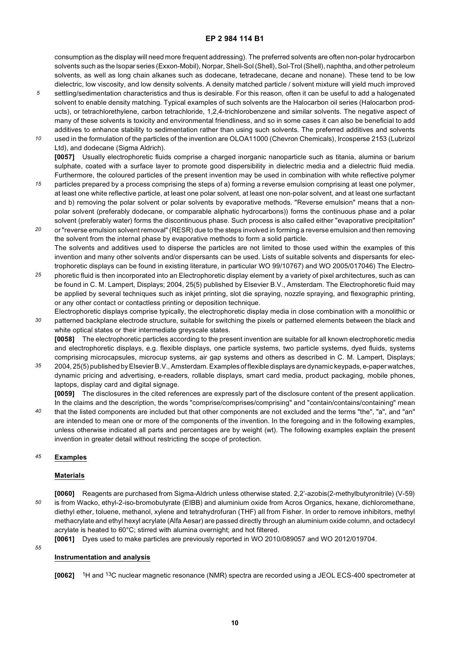consumption as the display will need more frequent addressing). The preferred solvents are often non-polar hydrocarbon solvents such as the Isopar series (Exxon-Mobil), Norpar, Shell-Sol (Shell), Sol-Trol (Shell), naphtha, and other petroleum solvents, as well as long chain alkanes such as dodecane, tetradecane, decane and nonane). These tend to be low dielectric, low viscosity, and low density solvents. A density matched particle / solvent mixture will yield much improved

- *5* settling/sedimentation characteristics and thus is desirable. For this reason, often it can be useful to add a halogenated solvent to enable density matching. Typical examples of such solvents are the Halocarbon oil series (Halocarbon products), or tetrachlorethylene, carbon tetrachloride, 1,2,4-trichlorobenzene and similar solvents. The negative aspect of many of these solvents is toxicity and environmental friendliness, and so in some cases it can also be beneficial to add additives to enhance stability to sedimentation rather than using such solvents. The preferred additives and solvents
- *10* used in the formulation of the particles of the invention are OLOA11000 (Chevron Chemicals), Ircosperse 2153 (Lubrizol Ltd), and dodecane (Sigma Aldrich). **[0057]** Usually electrophoretic fluids comprise a charged inorganic nanoparticle such as titania, alumina or barium
- *15* sulphate, coated with a surface layer to promote good dispersibility in dielectric media and a dielectric fluid media. Furthermore, the coloured particles of the present invention may be used in combination with white reflective polymer particles prepared by a process comprising the steps of a) forming a reverse emulsion comprising at least one polymer, at least one white reflective particle, at least one polar solvent, at least one non-polar solvent, and at least one surfactant and b) removing the polar solvent or polar solvents by evaporative methods. "Reverse emulsion" means that a nonpolar solvent (preferably dodecane, or comparable aliphatic hydrocarbons)) forms the continuous phase and a polar
- *20* solvent (preferably water) forms the discontinuous phase. Such process is also called either "evaporative precipitation" or "reverse emulsion solvent removal" (RESR) due to the steps involved in forming a reverse emulsion and then removing the solvent from the internal phase by evaporative methods to form a solid particle. The solvents and additives used to disperse the particles are not limited to those used within the examples of this invention and many other solvents and/or dispersants can be used. Lists of suitable solvents and dispersants for electrophoretic displays can be found in existing literature, in particular WO 99/10767) and WO 2005/017046) The Electro-
- *25* phoretic fluid is then incorporated into an Electrophoretic display element by a variety of pixel architectures, such as can be found in C. M. Lampert, Displays; 2004, 25(5) published by Elsevier B.V., Amsterdam. The Electrophoretic fluid may be applied by several techniques such as inkjet printing, slot die spraying, nozzle spraying, and flexographic printing, or any other contact or contactless printing or deposition technique.
- *30* Electrophoretic displays comprise typically, the electrophoretic display media in close combination with a monolithic or patterned backplane electrode structure, suitable for switching the pixels or patterned elements between the black and white optical states or their intermediate greyscale states.

**[0058]** The electrophoretic particles according to the present invention are suitable for all known electrophoretic media and electrophoretic displays, e.g. flexible displays, one particle systems, two particle systems, dyed fluids, systems comprising microcapsules, microcup systems, air gap systems and others as described in C. M. Lampert, Displays;

*35* 2004, 25(5) published by Elsevier B.V., Amsterdam. Examples of flexible displays are dynamic keypads, e-paper watches, dynamic pricing and advertising, e-readers, rollable displays, smart card media, product packaging, mobile phones, laptops, display card and digital signage.

**[0059]** The disclosures in the cited references are expressly part of the disclosure content of the present application. In the claims and the description, the words "comprise/comprises/comprising" and "contain/contains/containing" mean

*40* that the listed components are included but that other components are not excluded and the terms "the", "a", and "an" are intended to mean one or more of the components of the invention. In the foregoing and in the following examples, unless otherwise indicated all parts and percentages are by weight (wt). The following examples explain the present invention in greater detail without restricting the scope of protection.

#### *45* **Examples**

*55*

#### **Materials**

*50* **[0060]** Reagents are purchased from Sigma-Aldrich unless otherwise stated. 2,2'-azobis(2-methylbutyronitrile) (V-59) is from Wacko, ethyl-2-iso-bromobutyrate (EIBB) and aluminium oxide from Acros Organics, hexane, dichloromethane, diethyl ether, toluene, methanol, xylene and tetrahydrofuran (THF) all from Fisher. In order to remove inhibitors, methyl methacrylate and ethyl hexyl acrylate (Alfa Aesar) are passed directly through an aluminium oxide column, and octadecyl acrylate is heated to 60°C; stirred with alumina overnight; and hot filtered.

**[0061]** Dyes used to make particles are previously reported in WO 2010/089057 and WO 2012/019704.

#### **Instrumentation and analysis**

**[0062]** <sup>1</sup>H and 13C nuclear magnetic resonance (NMR) spectra are recorded using a JEOL ECS-400 spectrometer at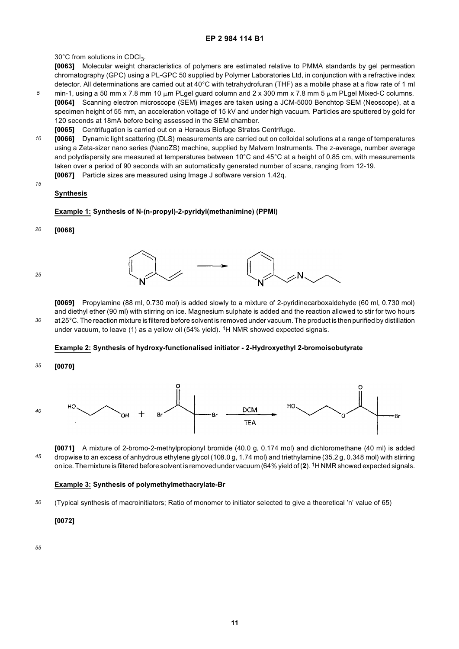30°C from solutions in CDCl $_3$ .

**[0063]** Molecular weight characteristics of polymers are estimated relative to PMMA standards by gel permeation chromatography (GPC) using a PL-GPC 50 supplied by Polymer Laboratories Ltd, in conjunction with a refractive index detector. All determinations are carried out at 40°C with tetrahydrofuran (THF) as a mobile phase at a flow rate of 1 ml

- *5* min-1, using a 50 mm x 7.8 mm 10  $\mu$ m PLgel guard column and 2 x 300 mm x 7.8 mm 5  $\mu$ m PLgel Mixed-C columns. **[0064]** Scanning electron microscope (SEM) images are taken using a JCM-5000 Benchtop SEM (Neoscope), at a specimen height of 55 mm, an acceleration voltage of 15 kV and under high vacuum. Particles are sputtered by gold for 120 seconds at 18mA before being assessed in the SEM chamber.
	- **[0065]** Centrifugation is carried out on a Heraeus Biofuge Stratos Centrifuge.
- *10* **[0066]** Dynamic light scattering (DLS) measurements are carried out on colloidal solutions at a range of temperatures using a Zeta-sizer nano series (NanoZS) machine, supplied by Malvern Instruments. The z-average, number average and polydispersity are measured at temperatures between 10°C and 45°C at a height of 0.85 cm, with measurements taken over a period of 90 seconds with an automatically generated number of scans, ranging from 12-19.
- *15* **[0067]** Particle sizes are measured using Image J software version 1.42q.

### **Synthesis**

#### **Example 1: Synthesis of N-(n-propyl)-2-pyridyl(methanimine) (PPMI)**

*20* **[0068]**

*25*

*30*



**[0069]** Propylamine (88 ml, 0.730 mol) is added slowly to a mixture of 2-pyridinecarboxaldehyde (60 ml, 0.730 mol) and diethyl ether (90 ml) with stirring on ice. Magnesium sulphate is added and the reaction allowed to stir for two hours at 25°C. The reaction mixture is filtered before solvent is removed under vacuum. The product is then purified by distillation under vacuum, to leave (1) as a yellow oil (54% yield). <sup>1</sup>H NMR showed expected signals.

#### **Example 2: Synthesis of hydroxy-functionalised initiator - 2-Hydroxyethyl 2-bromoisobutyrate**

*35* **[0070]**



*45* **[0071]** A mixture of 2-bromo-2-methylpropionyl bromide (40.0 g, 0.174 mol) and dichloromethane (40 ml) is added dropwise to an excess of anhydrous ethylene glycol (108.0 g, 1.74 mol) and triethylamine (35.2 g, 0.348 mol) with stirring on ice. The mixture is filtered before solvent is removed under vacuum (64% yield of (**2**). 1H NMR showed expected signals.

#### **Example 3: Synthesis of polymethylmethacrylate-Br**

*50* (Typical synthesis of macroinitiators; Ratio of monomer to initiator selected to give a theoretical 'n' value of 65)

#### **[0072]**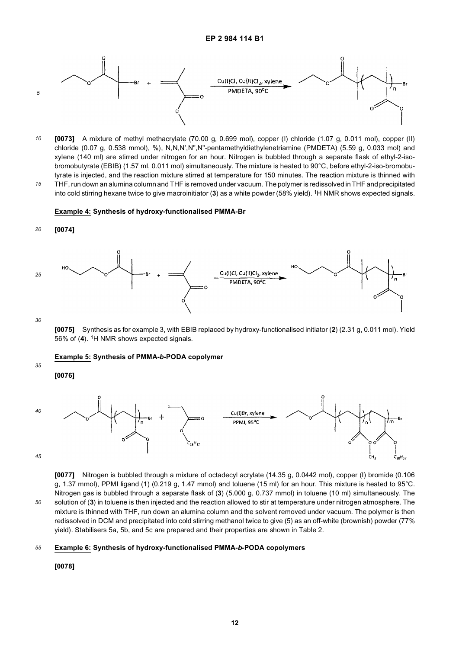

*10 15* **[0073]** A mixture of methyl methacrylate (70.00 g, 0.699 mol), copper (I) chloride (1.07 g, 0.011 mol), copper (II) chloride (0.07 g, 0.538 mmol), %), N,N,N',N",N"-pentamethyldiethylenetriamine (PMDETA) (5.59 g, 0.033 mol) and xylene (140 ml) are stirred under nitrogen for an hour. Nitrogen is bubbled through a separate flask of ethyl-2-isobromobutyrate (EBIB) (1.57 ml, 0.011 mol) simultaneously. The mixture is heated to 90°C, before ethyl-2-iso-bromobutyrate is injected, and the reaction mixture stirred at temperature for 150 minutes. The reaction mixture is thinned with THF, run down an alumina column and THF is removed under vacuum. The polymer is redissolved in THF and precipitated

into cold stirring hexane twice to give macroinitiator (**3**) as a white powder (58% yield). 1H NMR shows expected signals.

#### **Example 4: Synthesis of hydroxy-functionalised PMMA-Br**





*30*

**[0075]** Synthesis as for example 3, with EBIB replaced by hydroxy-functionalised initiator (**2**) (2.31 g, 0.011 mol). Yield 56% of (**4**). 1H NMR shows expected signals.

#### **Example 5: Synthesis of PMMA-***b***-PODA copolymer**

*35*

**[0076]**



*45*

*50*

**[0077]** Nitrogen is bubbled through a mixture of octadecyl acrylate (14.35 g, 0.0442 mol), copper (I) bromide (0.106 g, 1.37 mmol), PPMI ligand (**1**) (0.219 g, 1.47 mmol) and toluene (15 ml) for an hour. This mixture is heated to 95°C. Nitrogen gas is bubbled through a separate flask of (**3**) (5.000 g, 0.737 mmol) in toluene (10 ml) simultaneously. The solution of (**3**) in toluene is then injected and the reaction allowed to stir at temperature under nitrogen atmosphere. The mixture is thinned with THF, run down an alumina column and the solvent removed under vacuum. The polymer is then redissolved in DCM and precipitated into cold stirring methanol twice to give (5) as an off-white (brownish) powder (77% yield). Stabilisers 5a, 5b, and 5c are prepared and their properties are shown in Table 2.

#### *55* **Example 6: Synthesis of hydroxy-functionalised PMMA-***b***-PODA copolymers**

## **[0078]**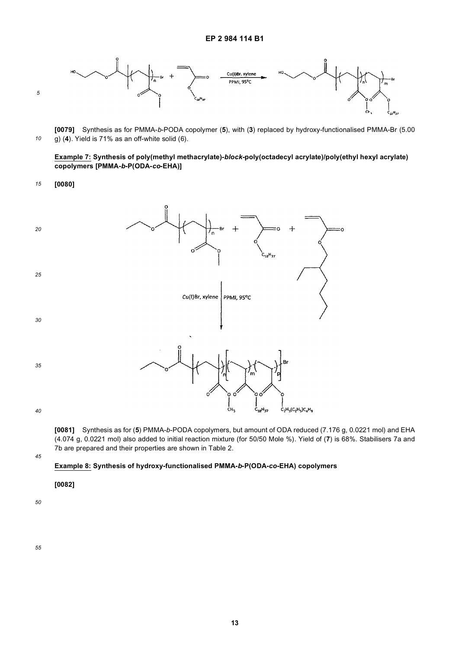

*10* **[0079]** Synthesis as for PMMA-*b*-PODA copolymer (**5**), with (**3**) replaced by hydroxy-functionalised PMMA-Br (5.00 g) (**4**). Yield is 71% as an off-white solid (6).

**Example 7: Synthesis of poly(methyl methacrylate)-***block-***poly(octadecyl acrylate)/poly(ethyl hexyl acrylate) copolymers [PMMA-***b***-P(ODA-***co***-EHA)]**

*15* **[0080]**



**[0081]** Synthesis as for (**5**) PMMA-*b*-PODA copolymers, but amount of ODA reduced (7.176 g, 0.0221 mol) and EHA (4.074 g, 0.0221 mol) also added to initial reaction mixture (for 50/50 Mole %). Yield of (**7**) is 68%. Stabilisers 7a and 7b are prepared and their properties are shown in Table 2.

*45*

#### **Example 8: Synthesis of hydroxy-functionalised PMMA-***b***-P(ODA-***co-***EHA) copolymers**

**[0082]**

*50*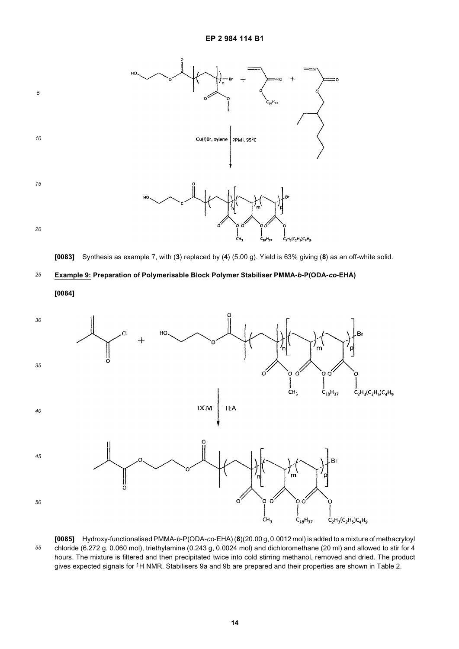

**[0083]** Synthesis as example 7, with (**3**) replaced by (**4**) (5.00 g). Yield is 63% giving (**8**) as an off-white solid.

#### *25* **Example 9: Preparation of Polymerisable Block Polymer Stabiliser PMMA-***b***-P(ODA-***co***-EHA)**

**[0084]**



*55* **[0085]** Hydroxy-functionalised PMMA-*b*-P(ODA-*co*-EHA) (**8**)(20.00 g, 0.0012 mol) is added to a mixture of methacryloyl chloride (6.272 g, 0.060 mol), triethylamine (0.243 g, 0.0024 mol) and dichloromethane (20 ml) and allowed to stir for 4 hours. The mixture is filtered and then precipitated twice into cold stirring methanol, removed and dried. The product gives expected signals for 1H NMR. Stabilisers 9a and 9b are prepared and their properties are shown in Table 2.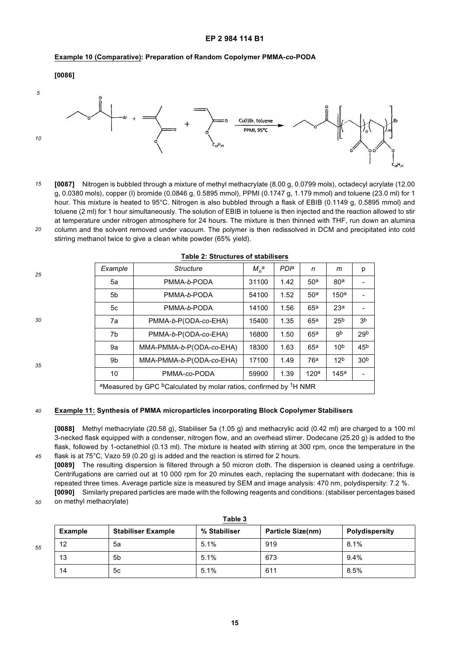#### **Example 10 (Comparative): Preparation of Random Copolymer PMMA-***co***-PODA**





*15 20* **[0087]** Nitrogen is bubbled through a mixture of methyl methacrylate (8.00 g, 0.0799 mols), octadecyl acrylate (12.00 g, 0.0380 mols), copper (I) bromide (0.0846 g, 0.5895 mmol), PPMI (0.1747 g, 1.179 mmol) and toluene (23.0 ml) for 1 hour. This mixture is heated to 95°C. Nitrogen is also bubbled through a flask of EBIB (0.1149 g, 0.5895 mmol) and toluene (2 ml) for 1 hour simultaneously. The solution of EBIB in toluene is then injected and the reaction allowed to stir at temperature under nitrogen atmosphere for 24 hours. The mixture is then thinned with THF, run down an alumina column and the solvent removed under vacuum. The polymer is then redissolved in DCM and precipitated into cold stirring methanol twice to give a clean white powder (65% yield).

| 25 | Example        | <b>Structure</b>                                                                                      | $M_n^a$ | <b>PD</b> <sup>a</sup> | n                | m               | p               |
|----|----------------|-------------------------------------------------------------------------------------------------------|---------|------------------------|------------------|-----------------|-----------------|
|    | 5a             | PMMA-b-PODA                                                                                           | 31100   | 1.42                   | 50 <sup>a</sup>  | 80 <sup>a</sup> |                 |
|    | 5 <sub>b</sub> | PMMA-b-PODA                                                                                           | 54100   | 1.52                   | 50 <sup>a</sup>  | 150a            |                 |
|    | 5c             | PMMA-b-PODA                                                                                           | 14100   | 1.56                   | 65 <sup>a</sup>  | 23 <sup>a</sup> |                 |
| 30 | 7a             | PMMA-b-P(ODA-co-EHA)                                                                                  | 15400   | 1.35                   | 65 <sup>a</sup>  | 25 <sup>b</sup> | 3 <sup>b</sup>  |
|    | 7b             | PMMA-b-P(ODA-co-EHA)                                                                                  | 16800   | 1.50                   | 65a              | gb              | 29 <sub>b</sub> |
|    | 9а             | MMA-PMMA-b-P(ODA-co-EHA)                                                                              | 18300   | 1.63                   | 65 <sup>a</sup>  | 10 <sup>b</sup> | 45 <sup>b</sup> |
| 35 | 9b             | MMA-PMMA-b-P(ODA-co-EHA)                                                                              | 17100   | 1.49                   | 76 <sup>a</sup>  | 12 <sup>b</sup> | 30 <sup>b</sup> |
|    | 10             | PMMA-co-PODA                                                                                          | 59900   | 1.39                   | 120 <sup>a</sup> | 145a            |                 |
|    |                | <sup>a</sup> Measured by GPC <sup>b</sup> Calculated by molar ratios, confirmed by <sup>1</sup> H NMR |         |                        |                  |                 |                 |
|    |                |                                                                                                       |         |                        |                  |                 |                 |

#### **Table 2: Structures of stabilisers**

#### *40* **Example 11: Synthesis of PMMA microparticles incorporating Block Copolymer Stabilisers**

**[0088]** Methyl methacrylate (20.58 g), Stabiliser 5a (1.05 g) and methacrylic acid (0.42 ml) are charged to a 100 ml 3-necked flask equipped with a condenser, nitrogen flow, and an overhead stirrer. Dodecane (25.20 g) is added to the flask, followed by 1-octanethiol (0.13 ml). The mixture is heated with stirring at 300 rpm, once the temperature in the flask is at 75°C, Vazo 59 (0.20 g) is added and the reaction is stirred for 2 hours.

**[0089]** The resulting dispersion is filtered through a 50 micron cloth. The dispersion is cleaned using a centrifuge. Centrifugations are carried out at 10 000 rpm for 20 minutes each, replacing the supernatant with dodecane; this is repeated three times. Average particle size is measured by SEM and image analysis: 470 nm, polydispersity: 7.2 %. **[0090]** Similarly prepared particles are made with the following reagents and conditions: (stabiliser percentages based

*50* on methyl methacrylate)

|    |                |                           | <b>Lable</b> 5 |                          |                |
|----|----------------|---------------------------|----------------|--------------------------|----------------|
|    | <b>Example</b> | <b>Stabiliser Example</b> | % Stabiliser   | <b>Particle Size(nm)</b> | Polydispersity |
| 55 | 12             | 5a                        | 5.1%           | 919                      | 8.1%           |
|    | 13             | 5b                        | 5.1%           | 673                      | 9.4%           |
|    | 14             | 5c                        | 5.1%           | 611                      | 8.5%           |

**Table 3**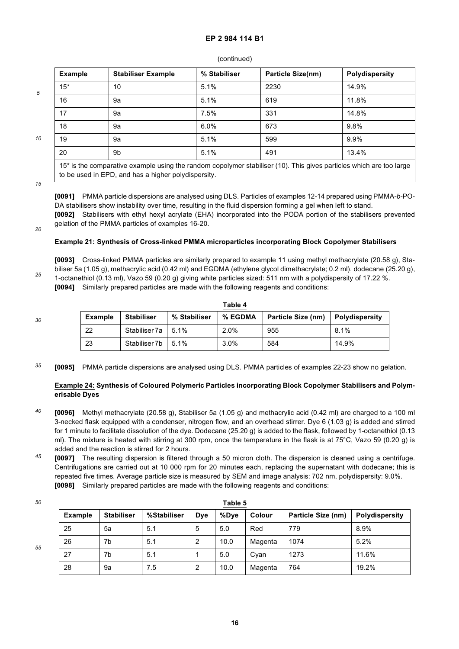#### (continued)

| <b>Example</b> | <b>Stabiliser Example</b> | % Stabiliser | <b>Particle Size(nm)</b> | <b>Polydispersity</b> |
|----------------|---------------------------|--------------|--------------------------|-----------------------|
| $15*$          | 10                        | 5.1%         | 2230                     | 14.9%                 |
| 16             | 9а                        | 5.1%         | 619                      | 11.8%                 |
| 17             | 9а                        | 7.5%         | 331                      | 14.8%                 |
| 18             | 9а                        | $6.0\%$      | 673                      | 9.8%                  |
| 19             | 9а                        | 5.1%         | 599                      | 9.9%                  |
| 20             | 9b                        | 5.1%         | 491                      | 13.4%                 |

*15*

to be used in EPD, and has a higher polydispersity.

*10*

*5*

**[0091]** PMMA particle dispersions are analysed using DLS. Particles of examples 12-14 prepared using PMMA-*b*-PO-DA stabilisers show instability over time, resulting in the fluid dispersion forming a gel when left to stand. **[0092]** Stabilisers with ethyl hexyl acrylate (EHA) incorporated into the PODA portion of the stabilisers prevented gelation of the PMMA particles of examples 16-20.

*20*

#### **Example 21: Synthesis of Cross-linked PMMA microparticles incorporating Block Copolymer Stabilisers**

**[0093]** Cross-linked PMMA particles are similarly prepared to example 11 using methyl methacrylate (20.58 g), Stabiliser 5a (1.05 g), methacrylic acid (0.42 ml) and EGDMA (ethylene glycol dimethacrylate; 0.2 ml), dodecane (25.20 g), 1-octanethiol (0.13 ml), Vazo 59 (0.20 g) giving white particles sized: 511 nm with a polydispersity of 17.22 %. **[0094]** Similarly prepared particles are made with the following reagents and conditions:

*30*

*25*

|                | Table 4              |              |         |                    |                |  |  |  |  |  |  |
|----------------|----------------------|--------------|---------|--------------------|----------------|--|--|--|--|--|--|
| <b>Example</b> | <b>Stabiliser</b>    | % Stabiliser | % EGDMA | Particle Size (nm) | Polydispersity |  |  |  |  |  |  |
| -22            | Stabiliser 7a   5.1% |              | 2.0%    | 955                | 8.1%           |  |  |  |  |  |  |
| -23            | Stabiliser 7b        | 5.1%         | 3.0%    | 584                | 14.9%          |  |  |  |  |  |  |

*35* **[0095]** PMMA particle dispersions are analysed using DLS. PMMA particles of examples 22-23 show no gelation.

#### **Example 24: Synthesis of Coloured Polymeric Particles incorporating Block Copolymer Stabilisers and Polymerisable Dyes**

- *40* **[0096]** Methyl methacrylate (20.58 g), Stabiliser 5a (1.05 g) and methacrylic acid (0.42 ml) are charged to a 100 ml 3-necked flask equipped with a condenser, nitrogen flow, and an overhead stirrer. Dye 6 (1.03 g) is added and stirred for 1 minute to facilitate dissolution of the dye. Dodecane (25.20 g) is added to the flask, followed by 1-octanethiol (0.13 ml). The mixture is heated with stirring at 300 rpm, once the temperature in the flask is at 75°C, Vazo 59 (0.20 g) is added and the reaction is stirred for 2 hours.
- *45* **[0097]** The resulting dispersion is filtered through a 50 micron cloth. The dispersion is cleaned using a centrifuge. Centrifugations are carried out at 10 000 rpm for 20 minutes each, replacing the supernatant with dodecane; this is repeated five times. Average particle size is measured by SEM and image analysis: 702 nm, polydispersity: 9.0%. **[0098]** Similarly prepared particles are made with the following reagents and conditions:

**Table 5**

|                | apie 5            |             |     |      |               |                    |                       |  |  |  |  |
|----------------|-------------------|-------------|-----|------|---------------|--------------------|-----------------------|--|--|--|--|
| <b>Example</b> | <b>Stabiliser</b> | %Stabiliser | Dye | %Dye | <b>Colour</b> | Particle Size (nm) | <b>Polydispersity</b> |  |  |  |  |
| 25             | 5a                | 5.1         | 5   | 5.0  | Red           | 779                | 8.9%                  |  |  |  |  |
| 26             | 7b                | 5.1         | 2   | 10.0 | Magenta       | 1074               | 5.2%                  |  |  |  |  |
| 27             | 7b                | 5.1         |     | 5.0  | Cyan          | 1273               | 11.6%                 |  |  |  |  |
| 28             | 9a                | 7.5         | റ   | 10.0 | Magenta       | 764                | 19.2%                 |  |  |  |  |

*50*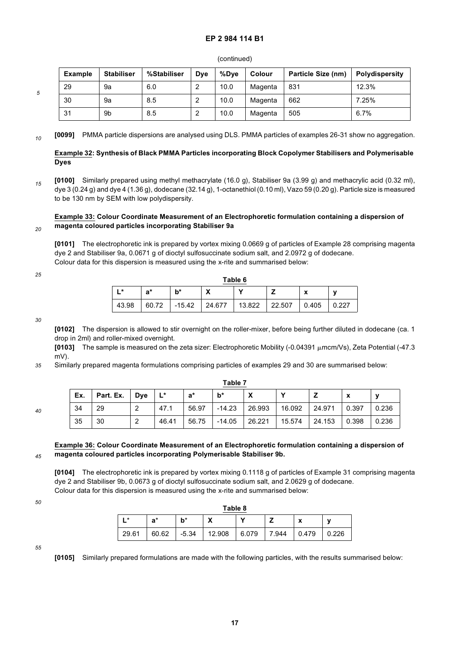#### (continued)

| <b>Example</b> | <b>Stabiliser</b> | %Stabiliser |   | Colour<br>%Dve<br><b>D</b> ve |         | Particle Size (nm) | Polydispersity |
|----------------|-------------------|-------------|---|-------------------------------|---------|--------------------|----------------|
| 29             | 9а                | 6.0         | っ | 10.0                          | Magenta | 831                | 12.3%          |
| 30             | 9а                | 8.5         |   | 10.0                          | Magenta | 662                | 7.25%          |
| 31             | 9b                | 8.5         | 2 | 10.0                          | Magenta | 505                | 6.7%           |

*10* **[0099]** PMMA particle dispersions are analysed using DLS. PMMA particles of examples 26-31 show no aggregation.

#### **Example 32: Synthesis of Black PMMA Particles incorporating Block Copolymer Stabilisers and Polymerisable Dyes**

*15* **[0100]** Similarly prepared using methyl methacrylate (16.0 g), Stabiliser 9a (3.99 g) and methacrylic acid (0.32 ml), dye 3 (0.24 g) and dye 4 (1.36 g), dodecane (32.14 g), 1-octanethiol (0.10 ml), Vazo 59 (0.20 g). Particle size is measured to be 130 nm by SEM with low polydispersity.

#### *20* **Example 33: Colour Coordinate Measurement of an Electrophoretic formulation containing a dispersion of magenta coloured particles incorporating Stabiliser 9a**

**[0101]** The electrophoretic ink is prepared by vortex mixing 0.0669 g of particles of Example 28 comprising magenta dye 2 and Stabiliser 9a, 0.0671 g of dioctyl sulfosuccinate sodium salt, and 2.0972 g of dodecane. Colour data for this dispersion is measured using the x-rite and summarised below:

*25*

*5*

| Table 6 |       |          |        |        |        |       |       |  |  |  |  |  |
|---------|-------|----------|--------|--------|--------|-------|-------|--|--|--|--|--|
| ∣∗k     | a*    | b*       | v<br>Λ |        |        | x     | V     |  |  |  |  |  |
| 43.98   | 60.72 | $-15.42$ | 24.677 | 13.822 | 22.507 | 0.405 | 0.227 |  |  |  |  |  |

*30*

**[0102]** The dispersion is allowed to stir overnight on the roller-mixer, before being further diluted in dodecane (ca. 1 drop in 2ml) and roller-mixed overnight.

**[0103]** The sample is measured on the zeta sizer: Electrophoretic Mobility (-0.04391 µmcm/Vs), Zeta Potential (-47.3 mV).

*35* Similarly prepared magenta formulations comprising particles of examples 29 and 30 are summarised below:

| 40 |
|----|

| Table 7 |           |     |       |       |          |        |              |        |       |       |  |
|---------|-----------|-----|-------|-------|----------|--------|--------------|--------|-------|-------|--|
| Ex.     | Part. Ex. | Dye | $L^*$ | a*    | $b^*$    |        | $\mathbf{v}$ |        | X     | v     |  |
| 34      | 29        | ◠   | 47.1  | 56.97 | $-14.23$ | 26.993 | 16.092       | 24.971 | 0.397 | 0.236 |  |
| 35      | 30        | ◠   | 46.41 | 56.75 | $-14.05$ | 26.221 | 15.574       | 24.153 | 0.398 | 0.236 |  |

#### *45* **Example 36: Colour Coordinate Measurement of an Electrophoretic formulation containing a dispersion of magenta coloured particles incorporating Polymerisable Stabiliser 9b.**

**[0104]** The electrophoretic ink is prepared by vortex mixing 0.1118 g of particles of Example 31 comprising magenta dye 2 and Stabiliser 9b, 0.0673 g of dioctyl sulfosuccinate sodium salt, and 2.0629 g of dodecane. Colour data for this dispersion is measured using the x-rite and summarised below:

*50*

| Table 8 |       |         |        |       |       |                                      |       |  |  |  |  |
|---------|-------|---------|--------|-------|-------|--------------------------------------|-------|--|--|--|--|
| ı *     | a*    | h*      | v<br>Λ | v     |       | $\checkmark$<br>$\ddot{\phantom{1}}$ | v     |  |  |  |  |
| 29.61   | 60.62 | $-5.34$ | 12.908 | 6.079 | 7.944 | 0.479                                | 0.226 |  |  |  |  |

*55*

**[0105]** Similarly prepared formulations are made with the following particles, with the results summarised below: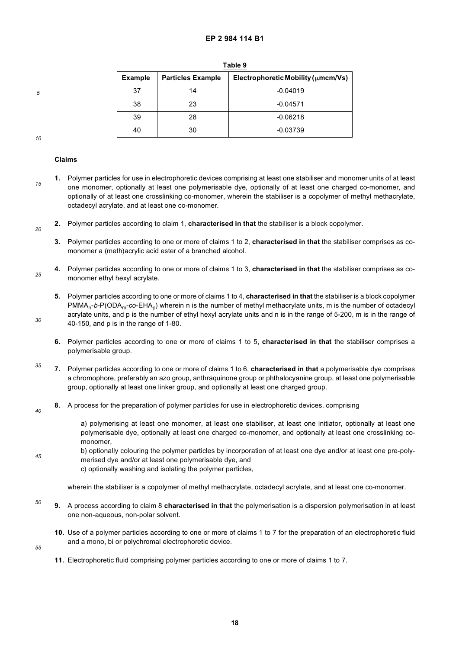| <b>Example</b> | <b>Particles Example</b> | Electrophoretic Mobility ( $\mu$ mcm/Vs) |
|----------------|--------------------------|------------------------------------------|
| 37             | 14                       | $-0.04019$                               |
| 38             | 23                       | $-0.04571$                               |
| 39             | 28                       | $-0.06218$                               |
| 40             | 30                       | -0.03739                                 |

**Table 9**

*10*

*30*

*5*

#### **Claims**

- *15* **1.** Polymer particles for use in electrophoretic devices comprising at least one stabiliser and monomer units of at least one monomer, optionally at least one polymerisable dye, optionally of at least one charged co-monomer, and optionally of at least one crosslinking co-monomer, wherein the stabiliser is a copolymer of methyl methacrylate, octadecyl acrylate, and at least one co-monomer.
- *20* **2.** Polymer particles according to claim 1, **characterised in that** the stabiliser is a block copolymer.

**3.** Polymer particles according to one or more of claims 1 to 2, **characterised in that** the stabiliser comprises as comonomer a (meth)acrylic acid ester of a branched alcohol.

*25* **4.** Polymer particles according to one or more of claims 1 to 3, **characterised in that** the stabiliser comprises as comonomer ethyl hexyl acrylate.

**5.** Polymer particles according to one or more of claims 1 to 4, **characterised in that** the stabiliser is a block copolymer PMMA<sub>n</sub>-*b-*P(ODA<sub>m</sub>-*co-EHA<sub>p</sub>) wherein n is the number of methyl methacrylate units, m is the number of octadecyl* acrylate units, and p is the number of ethyl hexyl acrylate units and n is in the range of 5-200, m is in the range of 40-150, and p is in the range of 1-80.

- **6.** Polymer particles according to one or more of claims 1 to 5, **characterised in that** the stabiliser comprises a polymerisable group.
- *35* **7.** Polymer particles according to one or more of claims 1 to 6, **characterised in that** a polymerisable dye comprises a chromophore, preferably an azo group, anthraquinone group or phthalocyanine group, at least one polymerisable group, optionally at least one linker group, and optionally at least one charged group.
- *40* **8.** A process for the preparation of polymer particles for use in electrophoretic devices, comprising

a) polymerising at least one monomer, at least one stabiliser, at least one initiator, optionally at least one polymerisable dye, optionally at least one charged co-monomer, and optionally at least one crosslinking comonomer,

- *45* b) optionally colouring the polymer particles by incorporation of at least one dye and/or at least one pre-polymerised dye and/or at least one polymerisable dye, and
	- c) optionally washing and isolating the polymer particles,

wherein the stabiliser is a copolymer of methyl methacrylate, octadecyl acrylate, and at least one co-monomer.

- *50* **9.** A process according to claim 8 **characterised in that** the polymerisation is a dispersion polymerisation in at least one non-aqueous, non-polar solvent.
	- **10.** Use of a polymer particles according to one or more of claims 1 to 7 for the preparation of an electrophoretic fluid and a mono, bi or polychromal electrophoretic device.
- *55*
- **11.** Electrophoretic fluid comprising polymer particles according to one or more of claims 1 to 7.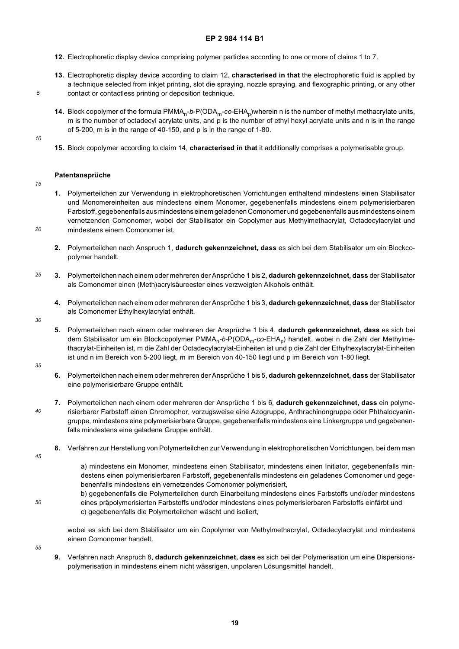- **12.** Electrophoretic display device comprising polymer particles according to one or more of claims 1 to 7.
- **13.** Electrophoretic display device according to claim 12, **characterised in that** the electrophoretic fluid is applied by a technique selected from inkjet printing, slot die spraying, nozzle spraying, and flexographic printing, or any other contact or contactless printing or deposition technique.
- **14.** Block copolymer of the formula PMMA<sub>n</sub>-*b*-P(ODA<sub>m</sub>-co-EHA<sub>p</sub>)wherein n is the number of methyl methacrylate units, m is the number of octadecyl acrylate units, and p is the number of ethyl hexyl acrylate units and n is in the range of 5-200, m is in the range of 40-150, and p is in the range of 1-80.
- *10*

*5*

**15.** Block copolymer according to claim 14, **characterised in that** it additionally comprises a polymerisable group.

#### **Patentansprüche**

*15*

*20*

- **1.** Polymerteilchen zur Verwendung in elektrophoretischen Vorrichtungen enthaltend mindestens einen Stabilisator und Monomereinheiten aus mindestens einem Monomer, gegebenenfalls mindestens einem polymerisierbaren Farbstoff, gegebenenfalls aus mindestens einem geladenen Comonomer und gegebenenfalls aus mindestens einem vernetzenden Comonomer, wobei der Stabilisator ein Copolymer aus Methylmethacrylat, Octadecylacrylat und mindestens einem Comonomer ist.
- **2.** Polymerteilchen nach Anspruch 1, **dadurch gekennzeichnet, dass** es sich bei dem Stabilisator um ein Blockcopolymer handelt.
- *25* **3.** Polymerteilchen nach einem oder mehreren der Ansprüche 1 bis 2, **dadurch gekennzeichnet, dass** der Stabilisator als Comonomer einen (Meth)acrylsäureester eines verzweigten Alkohols enthält.
	- **4.** Polymerteilchen nach einem oder mehreren der Ansprüche 1 bis 3, **dadurch gekennzeichnet, dass** der Stabilisator als Comonomer Ethylhexylacrylat enthält.
- *30*
- **5.** Polymerteilchen nach einem oder mehreren der Ansprüche 1 bis 4, **dadurch gekennzeichnet, dass** es sich bei dem Stabilisator um ein Blockcopolymer PMMA<sub>n</sub>-*b*-P(ODA<sub>m</sub>-co-EHA<sub>p</sub>) handelt, wobei n die Zahl der Methylmethacrylat-Einheiten ist, m die Zahl der Octadecylacrylat-Einheiten ist und p die Zahl der Ethylhexylacrylat-Einheiten ist und n im Bereich von 5-200 liegt, m im Bereich von 40-150 liegt und p im Bereich von 1-80 liegt.
- *35*
- **6.** Polymerteilchen nach einem oder mehreren der Ansprüche 1 bis 5, **dadurch gekennzeichnet, dass** der Stabilisator eine polymerisierbare Gruppe enthält.
- *40* **7.** Polymerteilchen nach einem oder mehreren der Ansprüche 1 bis 6, **dadurch gekennzeichnet, dass** ein polymerisierbarer Farbstoff einen Chromophor, vorzugsweise eine Azogruppe, Anthrachinongruppe oder Phthalocyaningruppe, mindestens eine polymerisierbare Gruppe, gegebenenfalls mindestens eine Linkergruppe und gegebenenfalls mindestens eine geladene Gruppe enthält.
	- **8.** Verfahren zur Herstellung von Polymerteilchen zur Verwendung in elektrophoretischen Vorrichtungen, bei dem man
- *45*

*50*

a) mindestens ein Monomer, mindestens einen Stabilisator, mindestens einen Initiator, gegebenenfalls mindestens einen polymerisierbaren Farbstoff, gegebenenfalls mindestens ein geladenes Comonomer und gegebenenfalls mindestens ein vernetzendes Comonomer polymerisiert,

b) gegebenenfalls die Polymerteilchen durch Einarbeitung mindestens eines Farbstoffs und/oder mindestens eines präpolymerisierten Farbstoffs und/oder mindestens eines polymerisierbaren Farbstoffs einfärbt und c) gegebenenfalls die Polymerteilchen wäscht und isoliert,

wobei es sich bei dem Stabilisator um ein Copolymer von Methylmethacrylat, Octadecylacrylat und mindestens einem Comonomer handelt.

- *55*
- **9.** Verfahren nach Anspruch 8, **dadurch gekennzeichnet, dass** es sich bei der Polymerisation um eine Dispersionspolymerisation in mindestens einem nicht wässrigen, unpolaren Lösungsmittel handelt.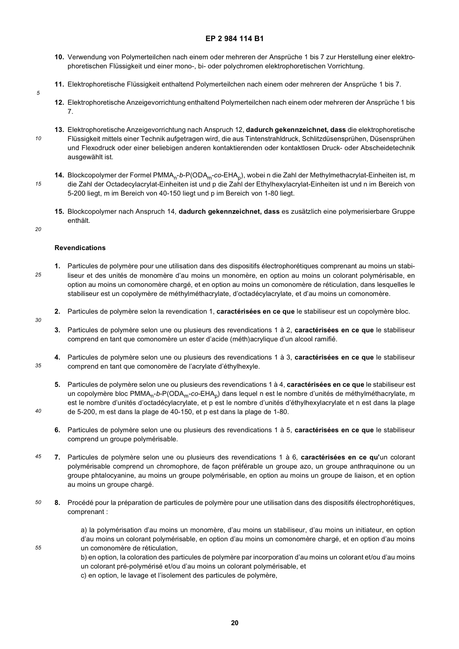- **10.** Verwendung von Polymerteilchen nach einem oder mehreren der Ansprüche 1 bis 7 zur Herstellung einer elektrophoretischen Flüssigkeit und einer mono-, bi- oder polychromen elektrophoretischen Vorrichtung.
- **11.** Elektrophoretische Flüssigkeit enthaltend Polymerteilchen nach einem oder mehreren der Ansprüche 1 bis 7.
- **12.** Elektrophoretische Anzeigevorrichtung enthaltend Polymerteilchen nach einem oder mehreren der Ansprüche 1 bis 7.
- *10* **13.** Elektrophoretische Anzeigevorrichtung nach Anspruch 12, **dadurch gekennzeichnet, dass** die elektrophoretische Flüssigkeit mittels einer Technik aufgetragen wird, die aus Tintenstrahldruck, Schlitzdüsensprühen, Düsensprühen und Flexodruck oder einer beliebigen anderen kontaktierenden oder kontaktlosen Druck- oder Abscheidetechnik ausgewählt ist.
- *15* **14.** Blockcopolymer der Formel PMMA<sub>n</sub>-*b*-P(ODA<sub>m</sub>-co-EHA<sub>p</sub>), wobei n die Zahl der Methylmethacrylat-Einheiten ist, m die Zahl der Octadecylacrylat-Einheiten ist und p die Zahl der Ethylhexylacrylat-Einheiten ist und n im Bereich von 5-200 liegt, m im Bereich von 40-150 liegt und p im Bereich von 1-80 liegt.
	- **15.** Blockcopolymer nach Anspruch 14, **dadurch gekennzeichnet, dass** es zusätzlich eine polymerisierbare Gruppe enthält.
- *20*

*30*

*35*

*40*

*55*

*5*

## **Revendications**

- *25* **1.** Particules de polymère pour une utilisation dans des dispositifs électrophorétiques comprenant au moins un stabiliseur et des unités de monomère d'au moins un monomère, en option au moins un colorant polymérisable, en option au moins un comonomère chargé, et en option au moins un comonomère de réticulation, dans lesquelles le stabiliseur est un copolymère de méthylméthacrylate, d'octadécylacrylate, et d'au moins un comonomère.
	- **2.** Particules de polymère selon la revendication 1, **caractérisées en ce que** le stabiliseur est un copolymère bloc.
		- **3.** Particules de polymère selon une ou plusieurs des revendications 1 à 2, **caractérisées en ce que** le stabiliseur comprend en tant que comonomère un ester d'acide (méth)acrylique d'un alcool ramifié.
	- **4.** Particules de polymère selon une ou plusieurs des revendications 1 à 3, **caractérisées en ce que** le stabiliseur comprend en tant que comonomère de l'acrylate d'éthylhexyle.
	- **5.** Particules de polymère selon une ou plusieurs des revendications 1 à 4, **caractérisées en ce que** le stabiliseur est un copolymère bloc PMMA<sub>n</sub>-*b*-P(ODA<sub>m</sub>-co-EHA<sub>p</sub>) dans lequel n est le nombre d'unités de méthylméthacrylate, m est le nombre d'unités d'octadécylacrylate, et p est le nombre d'unités d'éthylhexylacrylate et n est dans la plage de 5-200, m est dans la plage de 40-150, et p est dans la plage de 1-80.
	- **6.** Particules de polymère selon une ou plusieurs des revendications 1 à 5, **caractérisées en ce que** le stabiliseur comprend un groupe polymérisable.
- *45* **7.** Particules de polymère selon une ou plusieurs des revendications 1 à 6, **caractérisées en ce qu'**un colorant polymérisable comprend un chromophore, de façon préférable un groupe azo, un groupe anthraquinone ou un groupe phtalocyanine, au moins un groupe polymérisable, en option au moins un groupe de liaison, et en option au moins un groupe chargé.
- *50* **8.** Procédé pour la préparation de particules de polymère pour une utilisation dans des dispositifs électrophorétiques, comprenant :

a) la polymérisation d'au moins un monomère, d'au moins un stabiliseur, d'au moins un initiateur, en option d'au moins un colorant polymérisable, en option d'au moins un comonomère chargé, et en option d'au moins un comonomère de réticulation,

b) en option, la coloration des particules de polymère par incorporation d'au moins un colorant et/ou d'au moins un colorant pré-polymérisé et/ou d'au moins un colorant polymérisable, et

c) en option, le lavage et l'isolement des particules de polymère,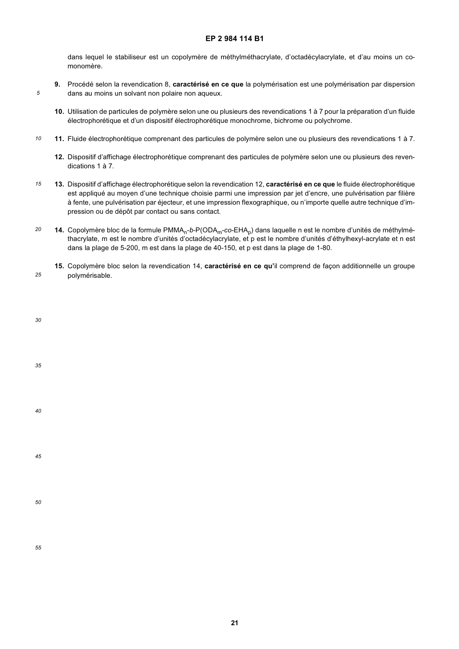dans lequel le stabiliseur est un copolymère de méthylméthacrylate, d'octadécylacrylate, et d'au moins un comonomère.

- **9.** Procédé selon la revendication 8, **caractérisé en ce que** la polymérisation est une polymérisation par dispersion dans au moins un solvant non polaire non aqueux.
	- **10.** Utilisation de particules de polymère selon une ou plusieurs des revendications 1 à 7 pour la préparation d'un fluide électrophorétique et d'un dispositif électrophorétique monochrome, bichrome ou polychrome.
- *10* **11.** Fluide électrophorétique comprenant des particules de polymère selon une ou plusieurs des revendications 1 à 7.
	- **12.** Dispositif d'affichage électrophorétique comprenant des particules de polymère selon une ou plusieurs des revendications 1 à 7.
- *15* **13.** Dispositif d'affichage électrophorétique selon la revendication 12, **caractérisé en ce que** le fluide électrophorétique est appliqué au moyen d'une technique choisie parmi une impression par jet d'encre, une pulvérisation par filière à fente, une pulvérisation par éjecteur, et une impression flexographique, ou n'importe quelle autre technique d'impression ou de dépôt par contact ou sans contact.
- *20* **14.** Copolymère bloc de la formule PMMA<sub>n</sub>-*b*-P(ODA<sub>m</sub>-co-EHA<sub>p</sub>) dans laquelle n est le nombre d'unités de méthylméthacrylate, m est le nombre d'unités d'octadécylacrylate, et p est le nombre d'unités d'éthylhexyl-acrylate et n est dans la plage de 5-200, m est dans la plage de 40-150, et p est dans la plage de 1-80.
- *25* **15.** Copolymère bloc selon la revendication 14, **caractérisé en ce qu'**il comprend de façon additionnelle un groupe polymérisable.

| 30     |  |  |  |
|--------|--|--|--|
| $35\,$ |  |  |  |
| 40     |  |  |  |
| 45     |  |  |  |
| 50     |  |  |  |
| 55     |  |  |  |

*5*